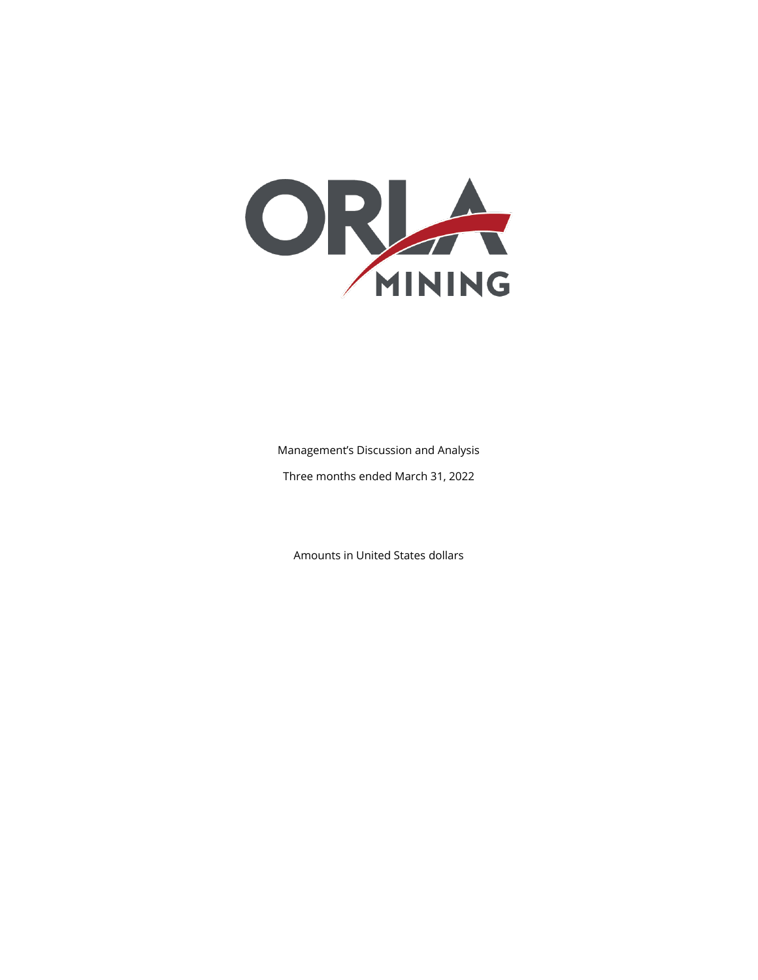

Management's Discussion and Analysis Three months ended March 31, 2022

Amounts in United States dollars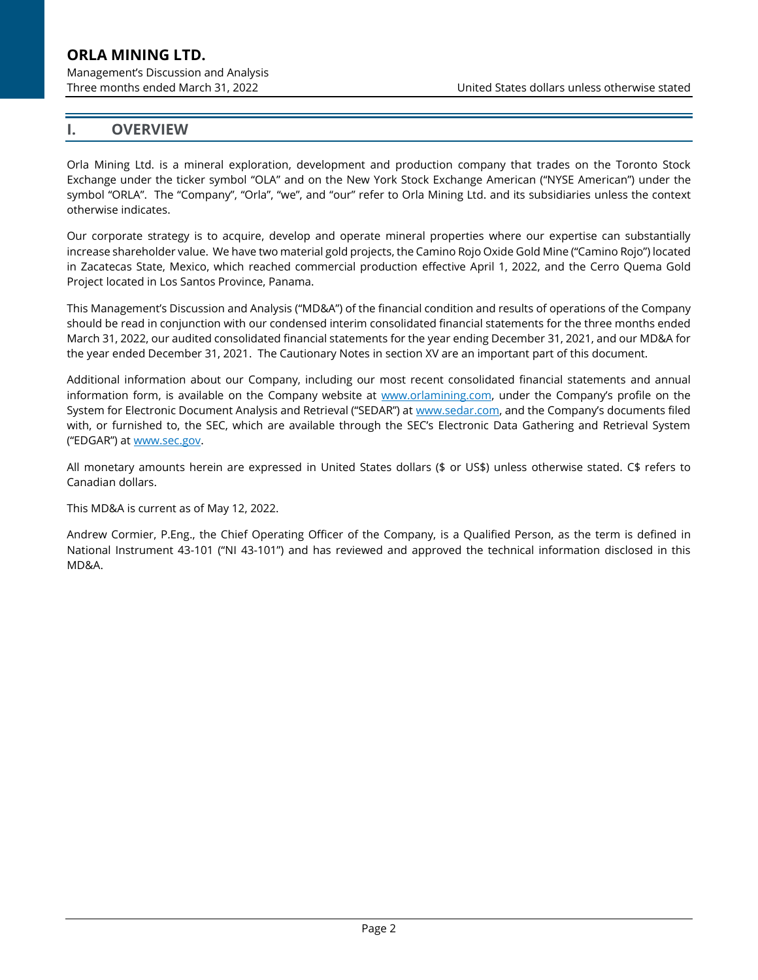Management's Discussion and Analysis

Three months ended March 31, 2022 United States dollars unless otherwise stated

### **I. OVERVIEW**

Orla Mining Ltd. is a mineral exploration, development and production company that trades on the Toronto Stock Exchange under the ticker symbol "OLA" and on the New York Stock Exchange American ("NYSE American") under the symbol "ORLA". The "Company", "Orla", "we", and "our" refer to Orla Mining Ltd. and its subsidiaries unless the context otherwise indicates.

Our corporate strategy is to acquire, develop and operate mineral properties where our expertise can substantially increase shareholder value. We have two material gold projects, the Camino Rojo Oxide Gold Mine ("Camino Rojo") located in Zacatecas State, Mexico, which reached commercial production effective April 1, 2022, and the Cerro Quema Gold Project located in Los Santos Province, Panama.

This Management's Discussion and Analysis ("MD&A") of the financial condition and results of operations of the Company should be read in conjunction with our condensed interim consolidated financial statements for the three months ended March 31, 2022, our audited consolidated financial statements for the year ending December 31, 2021, and our MD&A for the year ended December 31, 2021. The Cautionary Notes in sectio[n XV](#page-28-0) are an important part of this document.

Additional information about our Company, including our most recent consolidated financial statements and annual information form, is available on the Company website at [www.orlamining.com,](http://www.orlamining.com/) under the Company's profile on the System for Electronic Document Analysis and Retrieval ("SEDAR") at [www.sedar.com](http://www.sedar.com/), and the Company's documents filed with, or furnished to, the SEC, which are available through the SEC's Electronic Data Gathering and Retrieval System ("EDGAR") at [www.sec.gov.](http://www.sec.gov/)

All monetary amounts herein are expressed in United States dollars (\$ or US\$) unless otherwise stated. C\$ refers to Canadian dollars.

This MD&A is current as of May 12, 2022.

Andrew Cormier, P.Eng., the Chief Operating Officer of the Company, is a Qualified Person, as the term is defined in National Instrument 43-101 ("NI 43-101") and has reviewed and approved the technical information disclosed in this MD&A.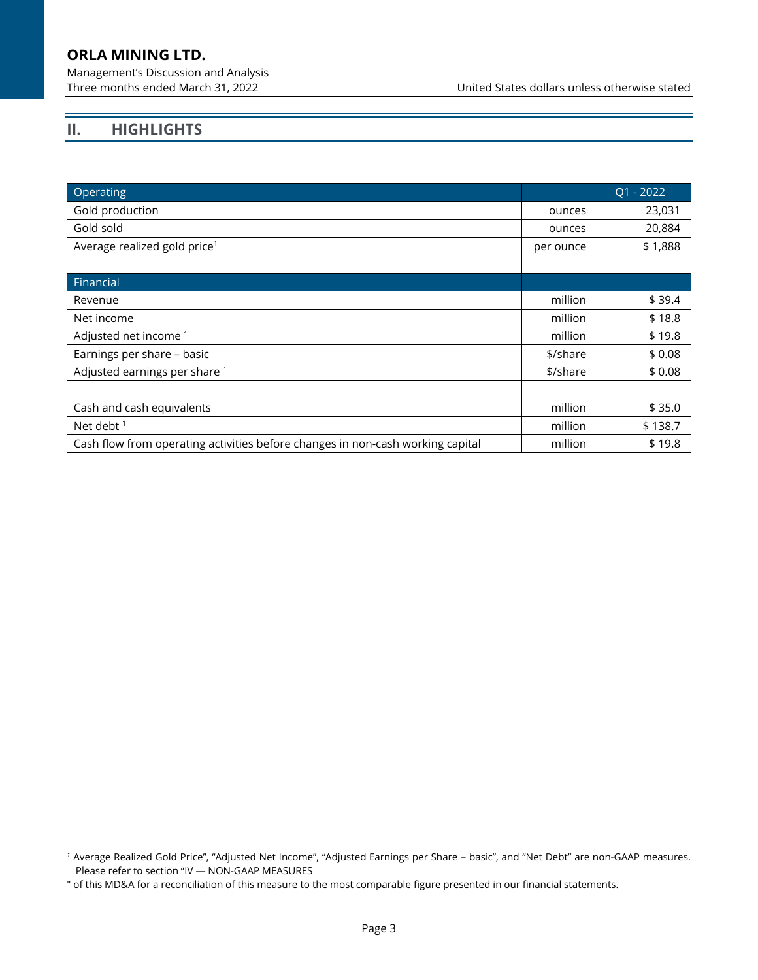Management's Discussion and Analysis

Three months ended March 31, 2022 United States dollars unless otherwise stated

# **II. HIGHLIGHTS**

| Operating                                                                      |           | $Q1 - 2022$ |
|--------------------------------------------------------------------------------|-----------|-------------|
| Gold production                                                                | ounces    | 23,031      |
| Gold sold                                                                      | ounces    | 20,884      |
| Average realized gold price <sup>1</sup>                                       | per ounce | \$1,888     |
|                                                                                |           |             |
| Financial                                                                      |           |             |
| Revenue                                                                        | million   | \$39.4      |
| Net income                                                                     | million   | \$18.8      |
| Adjusted net income <sup>1</sup>                                               | million   | \$19.8      |
| Earnings per share - basic                                                     | \$/share  | \$0.08      |
| Adjusted earnings per share 1                                                  | \$/share  | \$0.08      |
|                                                                                |           |             |
| Cash and cash equivalents                                                      | million   | \$35.0      |
| Net debt <sup>1</sup>                                                          | million   | \$138.7     |
| Cash flow from operating activities before changes in non-cash working capital | million   | \$19.8      |

*<sup>1</sup>* Average Realized Gold Price", "Adjusted Net Income", "Adjusted Earnings per Share – basic", and "Net Debt" are non-GAAP measures. Please refer to section "[IV](#page-7-0) — [NON-GAAP MEASURES](#page-14-0)

<sup>&</sup>quot; of this MD&A for a reconciliation of this measure to the most comparable figure presented in our financial statements.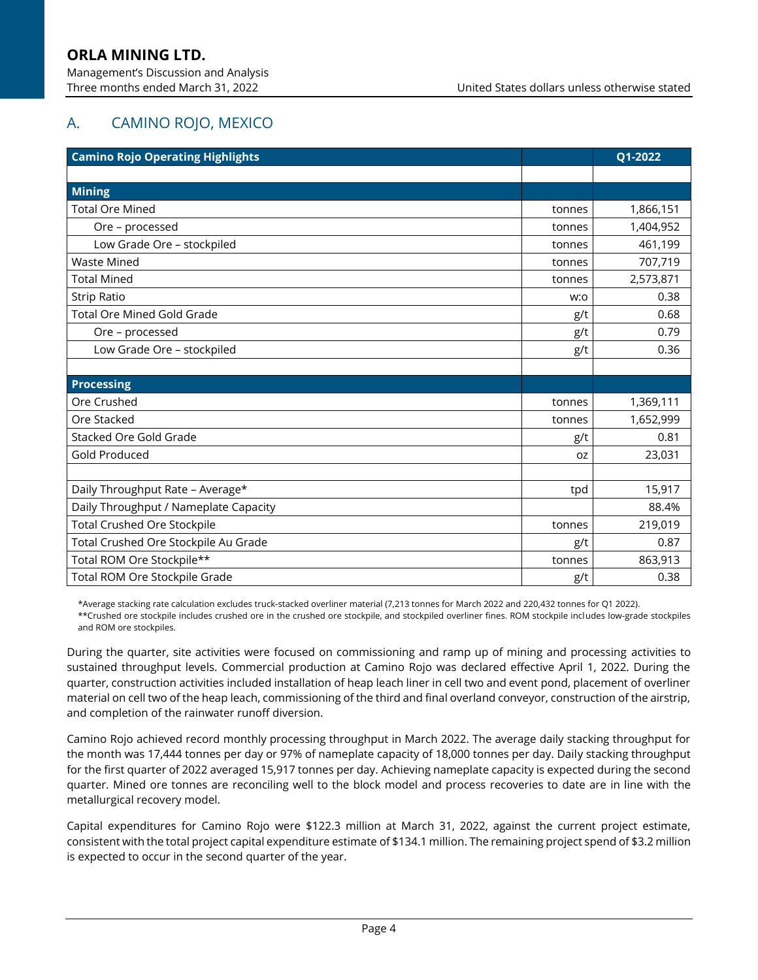# A. CAMINO ROJO, MEXICO

| <b>Camino Rojo Operating Highlights</b> |           | Q1-2022   |
|-----------------------------------------|-----------|-----------|
|                                         |           |           |
| <b>Mining</b>                           |           |           |
| <b>Total Ore Mined</b>                  | tonnes    | 1,866,151 |
| Ore - processed                         | tonnes    | 1,404,952 |
| Low Grade Ore - stockpiled              | tonnes    | 461,199   |
| <b>Waste Mined</b>                      | tonnes    | 707,719   |
| <b>Total Mined</b>                      | tonnes    | 2,573,871 |
| <b>Strip Ratio</b>                      | w:o       | 0.38      |
| <b>Total Ore Mined Gold Grade</b>       | g/t       | 0.68      |
| Ore - processed                         | g/t       | 0.79      |
| Low Grade Ore - stockpiled              | g/t       | 0.36      |
|                                         |           |           |
| <b>Processing</b>                       |           |           |
| Ore Crushed                             | tonnes    | 1,369,111 |
| Ore Stacked                             | tonnes    | 1,652,999 |
| Stacked Ore Gold Grade                  | g/t       | 0.81      |
| Gold Produced                           | <b>OZ</b> | 23,031    |
|                                         |           |           |
| Daily Throughput Rate - Average*        | tpd       | 15,917    |
| Daily Throughput / Nameplate Capacity   |           | 88.4%     |
| <b>Total Crushed Ore Stockpile</b>      | tonnes    | 219,019   |
| Total Crushed Ore Stockpile Au Grade    | g/t       | 0.87      |
| Total ROM Ore Stockpile**               | tonnes    | 863,913   |
| Total ROM Ore Stockpile Grade           | g/t       | 0.38      |

\*Average stacking rate calculation excludes truck-stacked overliner material (7,213 tonnes for March 2022 and 220,432 tonnes for Q1 2022). \*\*Crushed ore stockpile includes crushed ore in the crushed ore stockpile, and stockpiled overliner fines. ROM stockpile includes low-grade stockpiles and ROM ore stockpiles.

During the quarter, site activities were focused on commissioning and ramp up of mining and processing activities to sustained throughput levels. Commercial production at Camino Rojo was declared effective April 1, 2022. During the quarter, construction activities included installation of heap leach liner in cell two and event pond, placement of overliner material on cell two of the heap leach, commissioning of the third and final overland conveyor, construction of the airstrip, and completion of the rainwater runoff diversion.

Camino Rojo achieved record monthly processing throughput in March 2022. The average daily stacking throughput for the month was 17,444 tonnes per day or 97% of nameplate capacity of 18,000 tonnes per day. Daily stacking throughput for the first quarter of 2022 averaged 15,917 tonnes per day. Achieving nameplate capacity is expected during the second quarter. Mined ore tonnes are reconciling well to the block model and process recoveries to date are in line with the metallurgical recovery model.

Capital expenditures for Camino Rojo were \$122.3 million at March 31, 2022, against the current project estimate, consistent with the total project capital expenditure estimate of \$134.1 million. The remaining project spend of \$3.2 million is expected to occur in the second quarter of the year.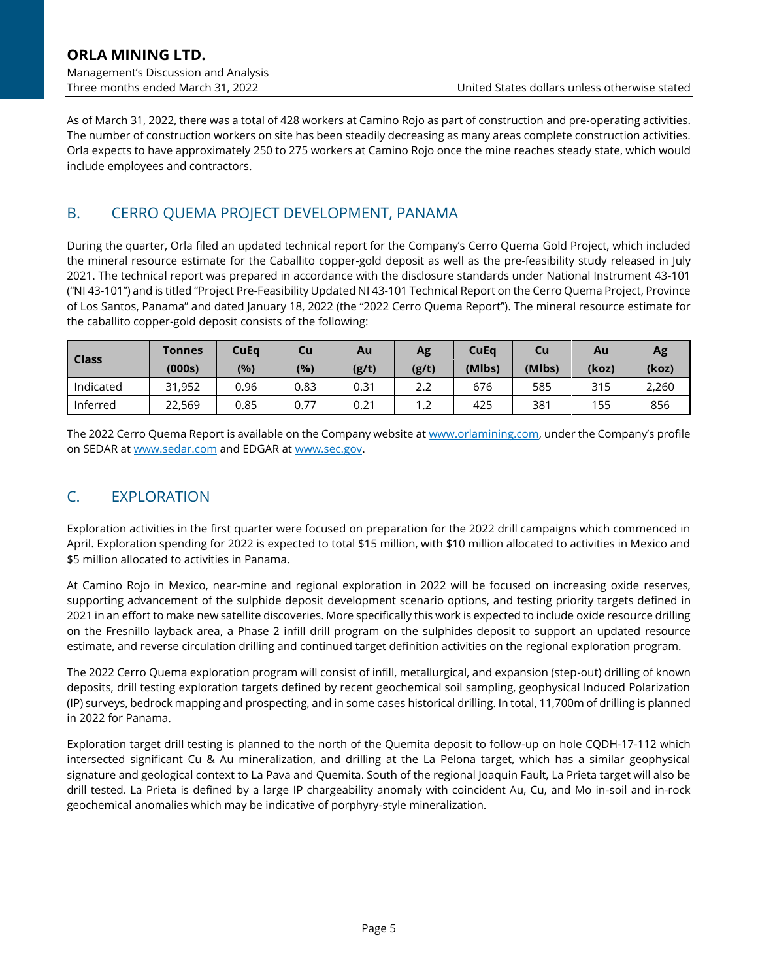As of March 31, 2022, there was a total of 428 workers at Camino Rojo as part of construction and pre-operating activities. The number of construction workers on site has been steadily decreasing as many areas complete construction activities. Orla expects to have approximately 250 to 275 workers at Camino Rojo once the mine reaches steady state, which would include employees and contractors.

# B. CERRO QUEMA PROJECT DEVELOPMENT, PANAMA

During the quarter, Orla filed an updated technical report for the Company's Cerro Quema Gold Project, which included the mineral resource estimate for the Caballito copper-gold deposit as well as the pre-feasibility study released in July 2021. The technical report was prepared in accordance with the disclosure standards under National Instrument 43-101 ("NI 43-101") and is titled "Project Pre-Feasibility Updated NI 43-101 Technical Report on the Cerro Quema Project, Province of Los Santos, Panama" and dated January 18, 2022 (the "2022 Cerro Quema Report"). The mineral resource estimate for the caballito copper-gold deposit consists of the following:

| Class     | Tonnes<br>(000s) | <b>CuEq</b><br>(%) | Cu<br>(%) | Au<br>(g/t) | Ag<br>(g/t)              | CuEq<br>(Mlbs) | Cu<br>(Mlbs) | Au<br>(koz) | Ag<br>(koz) |
|-----------|------------------|--------------------|-----------|-------------|--------------------------|----------------|--------------|-------------|-------------|
| Indicated | 31,952           | 0.96               | 0.83      | 0.31        | 2.2                      | 676            | 585          | 315         | 2,260       |
| Inferred  | 22,569           | 0.85               | 0.77      | 0.21        | $\overline{\phantom{a}}$ | 425            | 381          | 155         | 856         |

The 2022 Cerro Quema Report is available on the Company website a[t www.orlamining.com](http://www.orlamining.com/), under the Company's profile on SEDAR at [www.sedar.com](http://www.sedar.com/) and EDGAR at [www.sec.gov.](http://www.sec.gov/)

# C. EXPLORATION

Exploration activities in the first quarter were focused on preparation for the 2022 drill campaigns which commenced in April. Exploration spending for 2022 is expected to total \$15 million, with \$10 million allocated to activities in Mexico and \$5 million allocated to activities in Panama.

At Camino Rojo in Mexico, near-mine and regional exploration in 2022 will be focused on increasing oxide reserves, supporting advancement of the sulphide deposit development scenario options, and testing priority targets defined in 2021 in an effort to make new satellite discoveries. More specifically this work is expected to include oxide resource drilling on the Fresnillo layback area, a Phase 2 infill drill program on the sulphides deposit to support an updated resource estimate, and reverse circulation drilling and continued target definition activities on the regional exploration program.

The 2022 Cerro Quema exploration program will consist of infill, metallurgical, and expansion (step-out) drilling of known deposits, drill testing exploration targets defined by recent geochemical soil sampling, geophysical Induced Polarization (IP) surveys, bedrock mapping and prospecting, and in some cases historical drilling. In total, 11,700m of drilling is planned in 2022 for Panama.

Exploration target drill testing is planned to the north of the Quemita deposit to follow-up on hole CQDH-17-112 which intersected significant Cu & Au mineralization, and drilling at the La Pelona target, which has a similar geophysical signature and geological context to La Pava and Quemita. South of the regional Joaquin Fault, La Prieta target will also be drill tested. La Prieta is defined by a large IP chargeability anomaly with coincident Au, Cu, and Mo in-soil and in-rock geochemical anomalies which may be indicative of porphyry-style mineralization.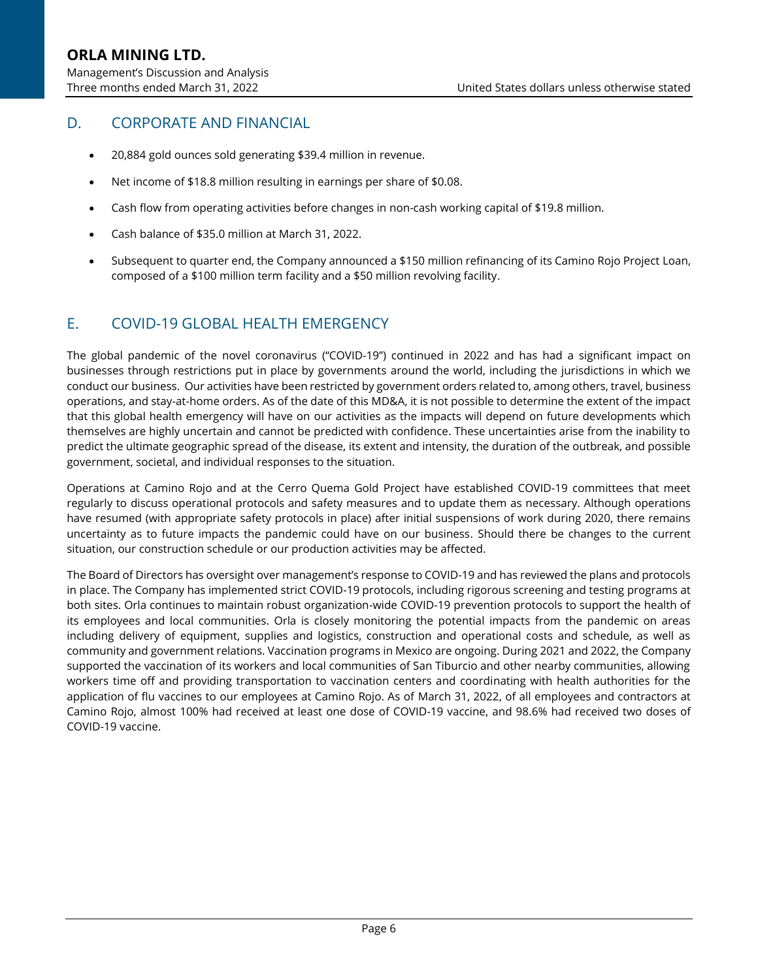# D. CORPORATE AND FINANCIAL

- 20,884 gold ounces sold generating \$39.4 million in revenue.
- Net income of \$18.8 million resulting in earnings per share of \$0.08.
- Cash flow from operating activities before changes in non-cash working capital of \$19.8 million.
- Cash balance of \$35.0 million at March 31, 2022.
- Subsequent to quarter end, the Company announced a \$150 million refinancing of its Camino Rojo Project Loan, composed of a \$100 million term facility and a \$50 million revolving facility.

## E. COVID-19 GLOBAL HEALTH EMERGENCY

The global pandemic of the novel coronavirus ("COVID-19") continued in 2022 and has had a significant impact on businesses through restrictions put in place by governments around the world, including the jurisdictions in which we conduct our business. Our activities have been restricted by government orders related to, among others, travel, business operations, and stay-at-home orders. As of the date of this MD&A, it is not possible to determine the extent of the impact that this global health emergency will have on our activities as the impacts will depend on future developments which themselves are highly uncertain and cannot be predicted with confidence. These uncertainties arise from the inability to predict the ultimate geographic spread of the disease, its extent and intensity, the duration of the outbreak, and possible government, societal, and individual responses to the situation.

Operations at Camino Rojo and at the Cerro Quema Gold Project have established COVID-19 committees that meet regularly to discuss operational protocols and safety measures and to update them as necessary. Although operations have resumed (with appropriate safety protocols in place) after initial suspensions of work during 2020, there remains uncertainty as to future impacts the pandemic could have on our business. Should there be changes to the current situation, our construction schedule or our production activities may be affected.

The Board of Directors has oversight over management's response to COVID-19 and has reviewed the plans and protocols in place. The Company has implemented strict COVID-19 protocols, including rigorous screening and testing programs at both sites. Orla continues to maintain robust organization-wide COVID-19 prevention protocols to support the health of its employees and local communities. Orla is closely monitoring the potential impacts from the pandemic on areas including delivery of equipment, supplies and logistics, construction and operational costs and schedule, as well as community and government relations. Vaccination programs in Mexico are ongoing. During 2021 and 2022, the Company supported the vaccination of its workers and local communities of San Tiburcio and other nearby communities, allowing workers time off and providing transportation to vaccination centers and coordinating with health authorities for the application of flu vaccines to our employees at Camino Rojo. As of March 31, 2022, of all employees and contractors at Camino Rojo, almost 100% had received at least one dose of COVID-19 vaccine, and 98.6% had received two doses of COVID-19 vaccine.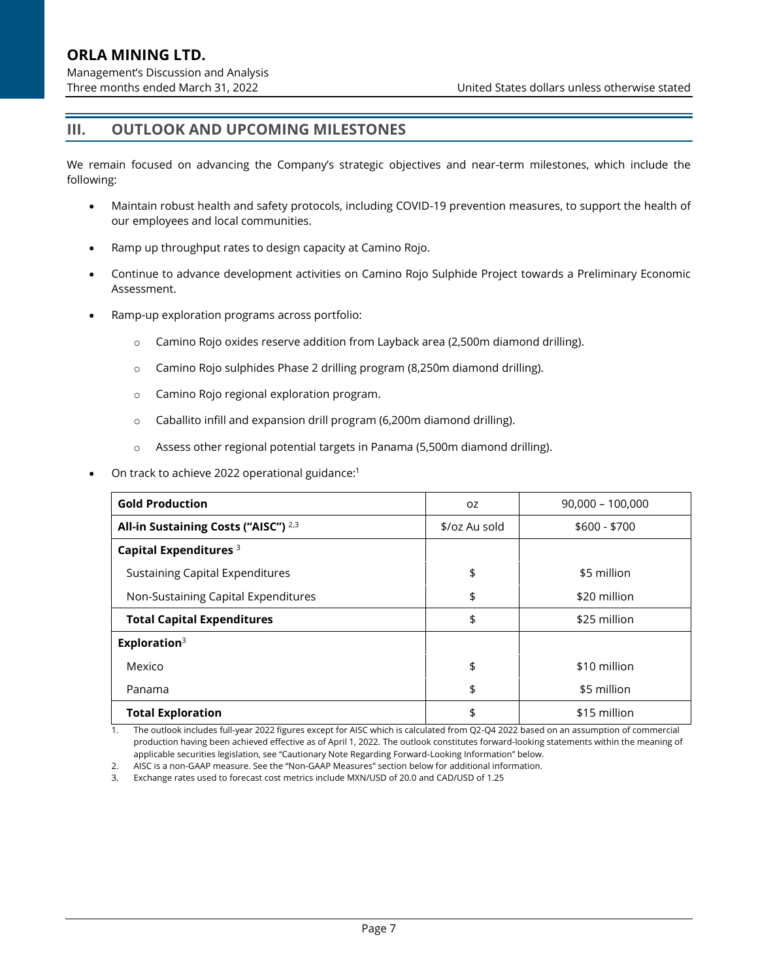# **III. OUTLOOK AND UPCOMING MILESTONES**

We remain focused on advancing the Company's strategic objectives and near-term milestones, which include the following:

- Maintain robust health and safety protocols, including COVID-19 prevention measures, to support the health of our employees and local communities.
- Ramp up throughput rates to design capacity at Camino Rojo.
- Continue to advance development activities on Camino Rojo Sulphide Project towards a Preliminary Economic Assessment.
- Ramp-up exploration programs across portfolio:
	- $\circ$  Camino Rojo oxides reserve addition from Layback area (2,500m diamond drilling).
	- o Camino Rojo sulphides Phase 2 drilling program (8,250m diamond drilling).
	- o Camino Rojo regional exploration program.
	- o Caballito infill and expansion drill program (6,200m diamond drilling).
	- $\circ$  Assess other regional potential targets in Panama (5,500m diamond drilling).
- On track to achieve 2022 operational guidance:<sup>1</sup>

| <b>Gold Production</b>                          | <b>OZ</b>     | $90,000 - 100,000$ |
|-------------------------------------------------|---------------|--------------------|
| All-in Sustaining Costs ("AISC") <sup>2,3</sup> | \$/oz Au sold | $$600 - $700$      |
| Capital Expenditures <sup>3</sup>               |               |                    |
| Sustaining Capital Expenditures                 | \$            | \$5 million        |
| Non-Sustaining Capital Expenditures             | \$            | \$20 million       |
| <b>Total Capital Expenditures</b>               | \$            | \$25 million       |
| Exploration <sup>3</sup>                        |               |                    |
| Mexico                                          | \$            | \$10 million       |
| Panama                                          | \$            | \$5 million        |
| <b>Total Exploration</b>                        | \$            | \$15 million       |

1. The outlook includes full-year 2022 figures except for AISC which is calculated from Q2-Q4 2022 based on an assumption of commercial production having been achieved effective as of April 1, 2022. The outlook constitutes forward-looking statements within the meaning of applicable securities legislation, see "Cautionary Note Regarding Forward-Looking Information" below.

2. AISC is a non-GAAP measure. See the "Non-GAAP Measures" section below for additional information.

3. Exchange rates used to forecast cost metrics include MXN/USD of 20.0 and CAD/USD of 1.25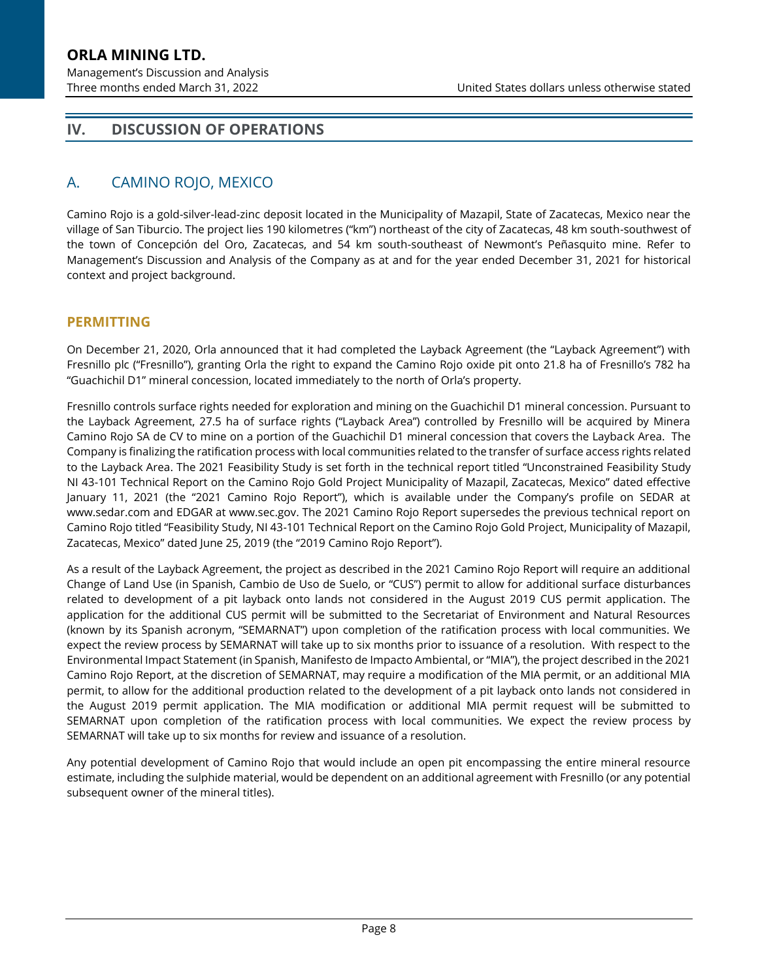Management's Discussion and Analysis

# <span id="page-7-0"></span>**IV. DISCUSSION OF OPERATIONS**

# A. CAMINO ROJO, MEXICO

Camino Rojo is a gold-silver-lead-zinc deposit located in the Municipality of Mazapil, State of Zacatecas, Mexico near the village of San Tiburcio. The project lies 190 kilometres ("km") northeast of the city of Zacatecas, 48 km south-southwest of the town of Concepción del Oro, Zacatecas, and 54 km south-southeast of Newmont's Peñasquito mine. Refer to Management's Discussion and Analysis of the Company as at and for the year ended December 31, 2021 for historical context and project background.

### **PERMITTING**

On December 21, 2020, Orla announced that it had completed the Layback Agreement (the "Layback Agreement") with Fresnillo plc ("Fresnillo"), granting Orla the right to expand the Camino Rojo oxide pit onto 21.8 ha of Fresnillo's 782 ha "Guachichil D1" mineral concession, located immediately to the north of Orla's property.

Fresnillo controls surface rights needed for exploration and mining on the Guachichil D1 mineral concession. Pursuant to the Layback Agreement, 27.5 ha of surface rights ("Layback Area") controlled by Fresnillo will be acquired by Minera Camino Rojo SA de CV to mine on a portion of the Guachichil D1 mineral concession that covers the Layback Area. The Company is finalizing the ratification process with local communities related to the transfer of surface access rights related to the Layback Area. The 2021 Feasibility Study is set forth in the technical report titled "Unconstrained Feasibility Study NI 43-101 Technical Report on the Camino Rojo Gold Project Municipality of Mazapil, Zacatecas, Mexico" dated effective January 11, 2021 (the "2021 Camino Rojo Report"), which is available under the Company's profile on SEDAR at www.sedar.com and EDGAR at www.sec.gov. The 2021 Camino Rojo Report supersedes the previous technical report on Camino Rojo titled "Feasibility Study, NI 43-101 Technical Report on the Camino Rojo Gold Project, Municipality of Mazapil, Zacatecas, Mexico" dated June 25, 2019 (the "2019 Camino Rojo Report").

As a result of the Layback Agreement, the project as described in the 2021 Camino Rojo Report will require an additional Change of Land Use (in Spanish, Cambio de Uso de Suelo, or "CUS") permit to allow for additional surface disturbances related to development of a pit layback onto lands not considered in the August 2019 CUS permit application. The application for the additional CUS permit will be submitted to the Secretariat of Environment and Natural Resources (known by its Spanish acronym, "SEMARNAT") upon completion of the ratification process with local communities. We expect the review process by SEMARNAT will take up to six months prior to issuance of a resolution. With respect to the Environmental Impact Statement (in Spanish, Manifesto de Impacto Ambiental, or "MIA"), the project described in the 2021 Camino Rojo Report, at the discretion of SEMARNAT, may require a modification of the MIA permit, or an additional MIA permit, to allow for the additional production related to the development of a pit layback onto lands not considered in the August 2019 permit application. The MIA modification or additional MIA permit request will be submitted to SEMARNAT upon completion of the ratification process with local communities. We expect the review process by SEMARNAT will take up to six months for review and issuance of a resolution.

Any potential development of Camino Rojo that would include an open pit encompassing the entire mineral resource estimate, including the sulphide material, would be dependent on an additional agreement with Fresnillo (or any potential subsequent owner of the mineral titles).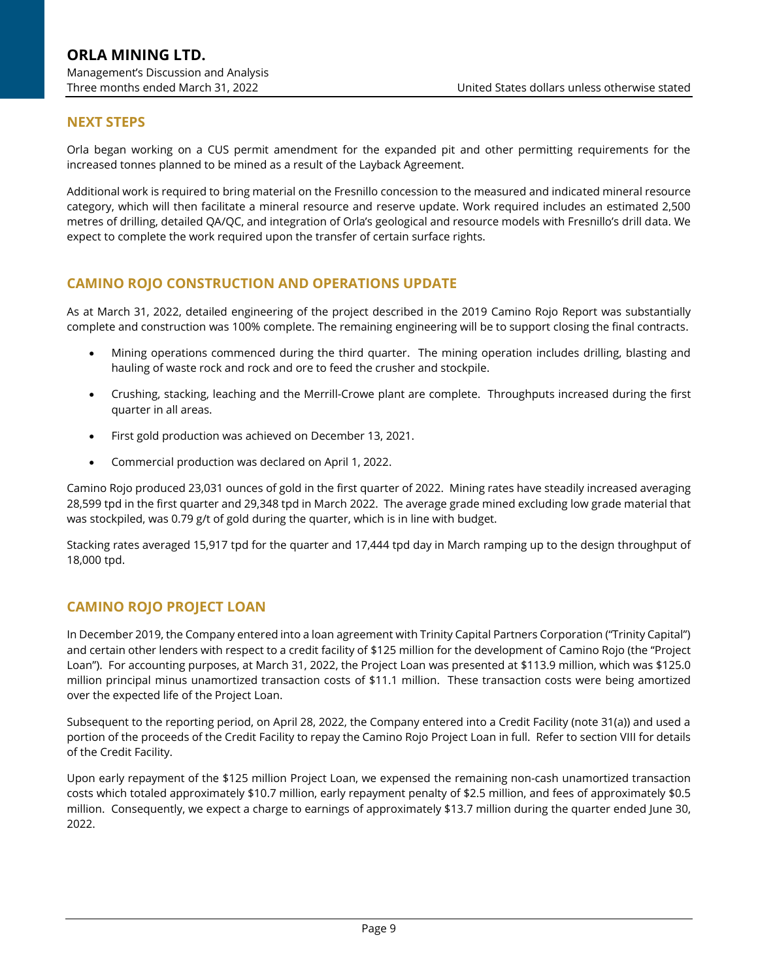### **NEXT STEPS**

Orla began working on a CUS permit amendment for the expanded pit and other permitting requirements for the increased tonnes planned to be mined as a result of the Layback Agreement.

Additional work is required to bring material on the Fresnillo concession to the measured and indicated mineral resource category, which will then facilitate a mineral resource and reserve update. Work required includes an estimated 2,500 metres of drilling, detailed QA/QC, and integration of Orla's geological and resource models with Fresnillo's drill data. We expect to complete the work required upon the transfer of certain surface rights.

### **CAMINO ROJO CONSTRUCTION AND OPERATIONS UPDATE**

As at March 31, 2022, detailed engineering of the project described in the 2019 Camino Rojo Report was substantially complete and construction was 100% complete. The remaining engineering will be to support closing the final contracts.

- Mining operations commenced during the third quarter. The mining operation includes drilling, blasting and hauling of waste rock and rock and ore to feed the crusher and stockpile.
- Crushing, stacking, leaching and the Merrill-Crowe plant are complete. Throughputs increased during the first quarter in all areas.
- First gold production was achieved on December 13, 2021.
- Commercial production was declared on April 1, 2022.

Camino Rojo produced 23,031 ounces of gold in the first quarter of 2022. Mining rates have steadily increased averaging 28,599 tpd in the first quarter and 29,348 tpd in March 2022. The average grade mined excluding low grade material that was stockpiled, was 0.79 g/t of gold during the quarter, which is in line with budget.

Stacking rates averaged 15,917 tpd for the quarter and 17,444 tpd day in March ramping up to the design throughput of 18,000 tpd.

### **CAMINO ROJO PROJECT LOAN**

In December 2019, the Company entered into a loan agreement with Trinity Capital Partners Corporation ("Trinity Capital") and certain other lenders with respect to a credit facility of \$125 million for the development of Camino Rojo (the "Project Loan"). For accounting purposes, at March 31, 2022, the Project Loan was presented at \$113.9 million, which was \$125.0 million principal minus unamortized transaction costs of \$11.1 million. These transaction costs were being amortized over the expected life of the Project Loan.

Subsequent to the reporting period, on April 28, 2022, the Company entered into a Credit Facility (note 31(a)) and used a portion of the proceeds of the Credit Facility to repay the Camino Rojo Project Loan in full. Refer to section [VIII](#page-22-0) for details of the Credit Facility.

Upon early repayment of the \$125 million Project Loan, we expensed the remaining non-cash unamortized transaction costs which totaled approximately \$10.7 million, early repayment penalty of \$2.5 million, and fees of approximately \$0.5 million. Consequently, we expect a charge to earnings of approximately \$13.7 million during the quarter ended June 30, 2022.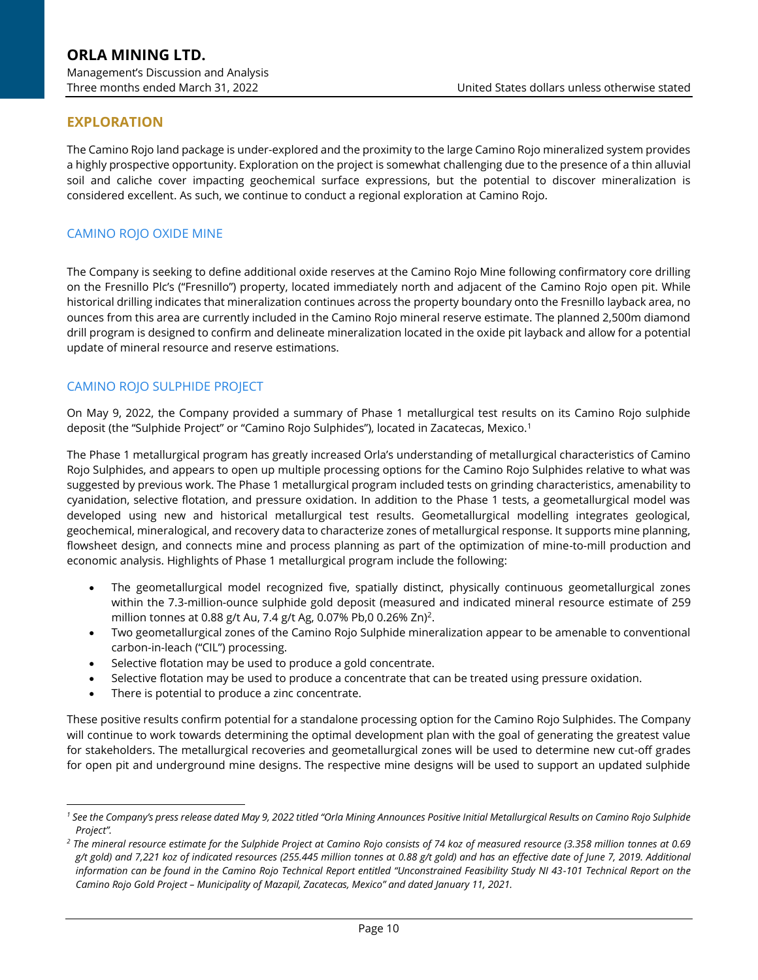# **EXPLORATION**

The Camino Rojo land package is under-explored and the proximity to the large Camino Rojo mineralized system provides a highly prospective opportunity. Exploration on the project is somewhat challenging due to the presence of a thin alluvial soil and caliche cover impacting geochemical surface expressions, but the potential to discover mineralization is considered excellent. As such, we continue to conduct a regional exploration at Camino Rojo.

#### CAMINO ROJO OXIDE MINE

The Company is seeking to define additional oxide reserves at the Camino Rojo Mine following confirmatory core drilling on the Fresnillo Plc's ("Fresnillo") property, located immediately north and adjacent of the Camino Rojo open pit. While historical drilling indicates that mineralization continues across the property boundary onto the Fresnillo layback area, no ounces from this area are currently included in the Camino Rojo mineral reserve estimate. The planned 2,500m diamond drill program is designed to confirm and delineate mineralization located in the oxide pit layback and allow for a potential update of mineral resource and reserve estimations.

#### CAMINO ROJO SULPHIDE PROJECT

On May 9, 2022, the Company provided a summary of Phase 1 metallurgical test results on its Camino Rojo sulphide deposit (the "Sulphide Project" or "Camino Rojo Sulphides"), located in Zacatecas, Mexico.<sup>1</sup>

The Phase 1 metallurgical program has greatly increased Orla's understanding of metallurgical characteristics of Camino Rojo Sulphides, and appears to open up multiple processing options for the Camino Rojo Sulphides relative to what was suggested by previous work. The Phase 1 metallurgical program included tests on grinding characteristics, amenability to cyanidation, selective flotation, and pressure oxidation. In addition to the Phase 1 tests, a geometallurgical model was developed using new and historical metallurgical test results. Geometallurgical modelling integrates geological, geochemical, mineralogical, and recovery data to characterize zones of metallurgical response. It supports mine planning, flowsheet design, and connects mine and process planning as part of the optimization of mine-to-mill production and economic analysis. Highlights of Phase 1 metallurgical program include the following:

- The geometallurgical model recognized five, spatially distinct, physically continuous geometallurgical zones within the 7.3-million-ounce sulphide gold deposit (measured and indicated mineral resource estimate of 259 million tonnes at 0.88 g/t Au, 7.4 g/t Ag, 0.07% Pb,0 0.26% Zn)<sup>2</sup>.
- Two geometallurgical zones of the Camino Rojo Sulphide mineralization appear to be amenable to conventional carbon-in-leach ("CIL") processing.
- Selective flotation may be used to produce a gold concentrate.
- Selective flotation may be used to produce a concentrate that can be treated using pressure oxidation.
- There is potential to produce a zinc concentrate.

These positive results confirm potential for a standalone processing option for the Camino Rojo Sulphides. The Company will continue to work towards determining the optimal development plan with the goal of generating the greatest value for stakeholders. The metallurgical recoveries and geometallurgical zones will be used to determine new cut-off grades for open pit and underground mine designs. The respective mine designs will be used to support an updated sulphide

*<sup>1</sup> See the Company's press release dated May 9, 2022 titled "Orla Mining Announces Positive Initial Metallurgical Results on Camino Rojo Sulphide Project".*

*<sup>2</sup> The mineral resource estimate for the Sulphide Project at Camino Rojo consists of 74 koz of measured resource (3.358 million tonnes at 0.69 g/t gold) and 7,221 koz of indicated resources (255.445 million tonnes at 0.88 g/t gold) and has an effective date of June 7, 2019. Additional information can be found in the Camino Rojo Technical Report entitled "Unconstrained Feasibility Study NI 43-101 Technical Report on the Camino Rojo Gold Project – Municipality of Mazapil, Zacatecas, Mexico" and dated January 11, 2021.*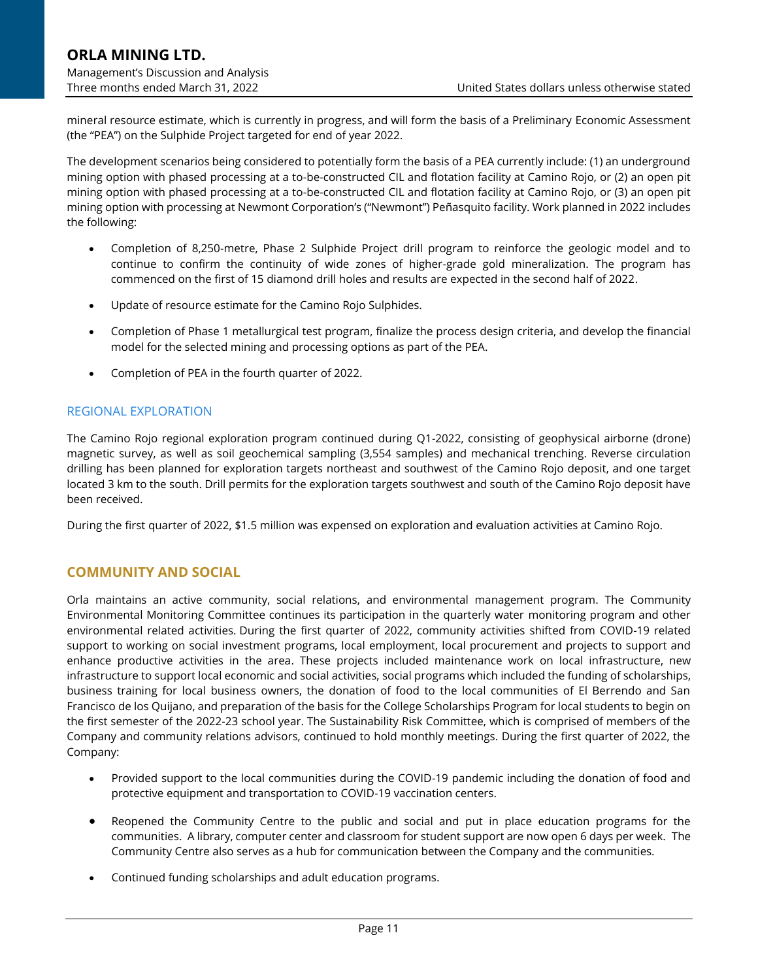mineral resource estimate, which is currently in progress, and will form the basis of a Preliminary Economic Assessment (the "PEA") on the Sulphide Project targeted for end of year 2022.

The development scenarios being considered to potentially form the basis of a PEA currently include: (1) an underground mining option with phased processing at a to-be-constructed CIL and flotation facility at Camino Rojo, or (2) an open pit mining option with phased processing at a to-be-constructed CIL and flotation facility at Camino Rojo, or (3) an open pit mining option with processing at Newmont Corporation's ("Newmont") Peñasquito facility. Work planned in 2022 includes the following:

- Completion of 8,250-metre, Phase 2 Sulphide Project drill program to reinforce the geologic model and to continue to confirm the continuity of wide zones of higher-grade gold mineralization. The program has commenced on the first of 15 diamond drill holes and results are expected in the second half of 2022.
- Update of resource estimate for the Camino Rojo Sulphides.
- Completion of Phase 1 metallurgical test program, finalize the process design criteria, and develop the financial model for the selected mining and processing options as part of the PEA.
- Completion of PEA in the fourth quarter of 2022.

#### REGIONAL EXPLORATION

The Camino Rojo regional exploration program continued during Q1-2022, consisting of geophysical airborne (drone) magnetic survey, as well as soil geochemical sampling (3,554 samples) and mechanical trenching. Reverse circulation drilling has been planned for exploration targets northeast and southwest of the Camino Rojo deposit, and one target located 3 km to the south. Drill permits for the exploration targets southwest and south of the Camino Rojo deposit have been received.

During the first quarter of 2022, \$1.5 million was expensed on exploration and evaluation activities at Camino Rojo.

### **COMMUNITY AND SOCIAL**

Orla maintains an active community, social relations, and environmental management program. The Community Environmental Monitoring Committee continues its participation in the quarterly water monitoring program and other environmental related activities. During the first quarter of 2022, community activities shifted from COVID-19 related support to working on social investment programs, local employment, local procurement and projects to support and enhance productive activities in the area. These projects included maintenance work on local infrastructure, new infrastructure to support local economic and social activities, social programs which included the funding of scholarships, business training for local business owners, the donation of food to the local communities of El Berrendo and San Francisco de los Quijano, and preparation of the basis for the College Scholarships Program for local students to begin on the first semester of the 2022-23 school year. The Sustainability Risk Committee, which is comprised of members of the Company and community relations advisors, continued to hold monthly meetings. During the first quarter of 2022, the Company:

- Provided support to the local communities during the COVID-19 pandemic including the donation of food and protective equipment and transportation to COVID-19 vaccination centers.
- Reopened the Community Centre to the public and social and put in place education programs for the communities. A library, computer center and classroom for student support are now open 6 days per week. The Community Centre also serves as a hub for communication between the Company and the communities.
- Continued funding scholarships and adult education programs.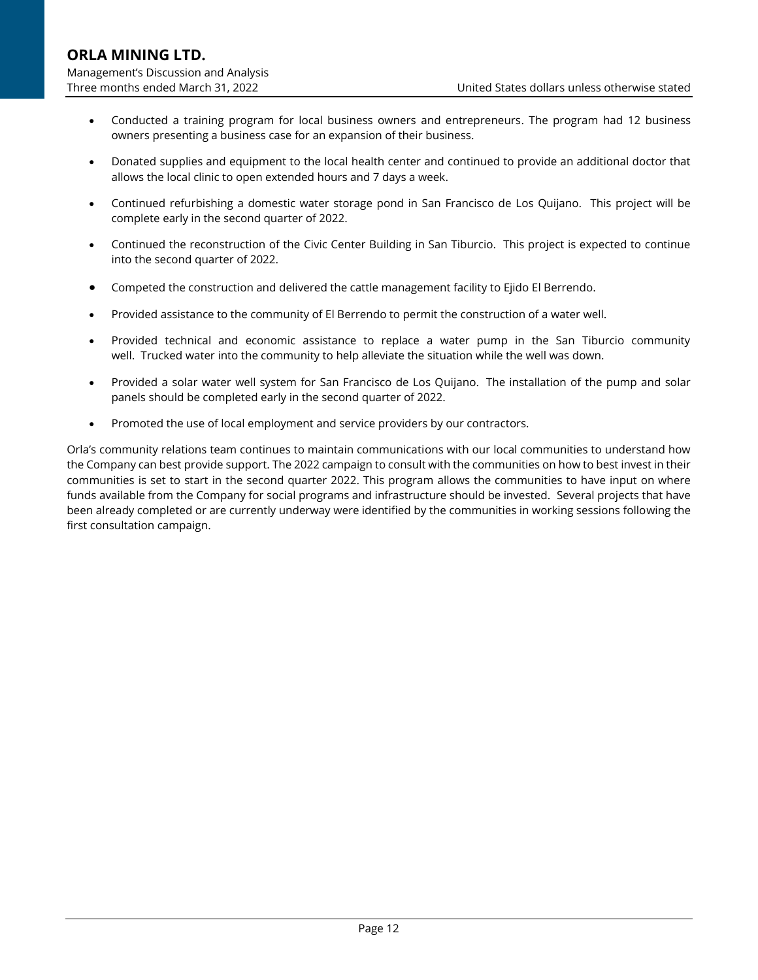- Conducted a training program for local business owners and entrepreneurs. The program had 12 business owners presenting a business case for an expansion of their business.
- Donated supplies and equipment to the local health center and continued to provide an additional doctor that allows the local clinic to open extended hours and 7 days a week.
- Continued refurbishing a domestic water storage pond in San Francisco de Los Quijano. This project will be complete early in the second quarter of 2022.
- Continued the reconstruction of the Civic Center Building in San Tiburcio. This project is expected to continue into the second quarter of 2022.
- Competed the construction and delivered the cattle management facility to Ejido El Berrendo.
- Provided assistance to the community of El Berrendo to permit the construction of a water well.
- Provided technical and economic assistance to replace a water pump in the San Tiburcio community well. Trucked water into the community to help alleviate the situation while the well was down.
- Provided a solar water well system for San Francisco de Los Quijano. The installation of the pump and solar panels should be completed early in the second quarter of 2022.
- Promoted the use of local employment and service providers by our contractors.

Orla's community relations team continues to maintain communications with our local communities to understand how the Company can best provide support. The 2022 campaign to consult with the communities on how to best invest in their communities is set to start in the second quarter 2022. This program allows the communities to have input on where funds available from the Company for social programs and infrastructure should be invested. Several projects that have been already completed or are currently underway were identified by the communities in working sessions following the first consultation campaign.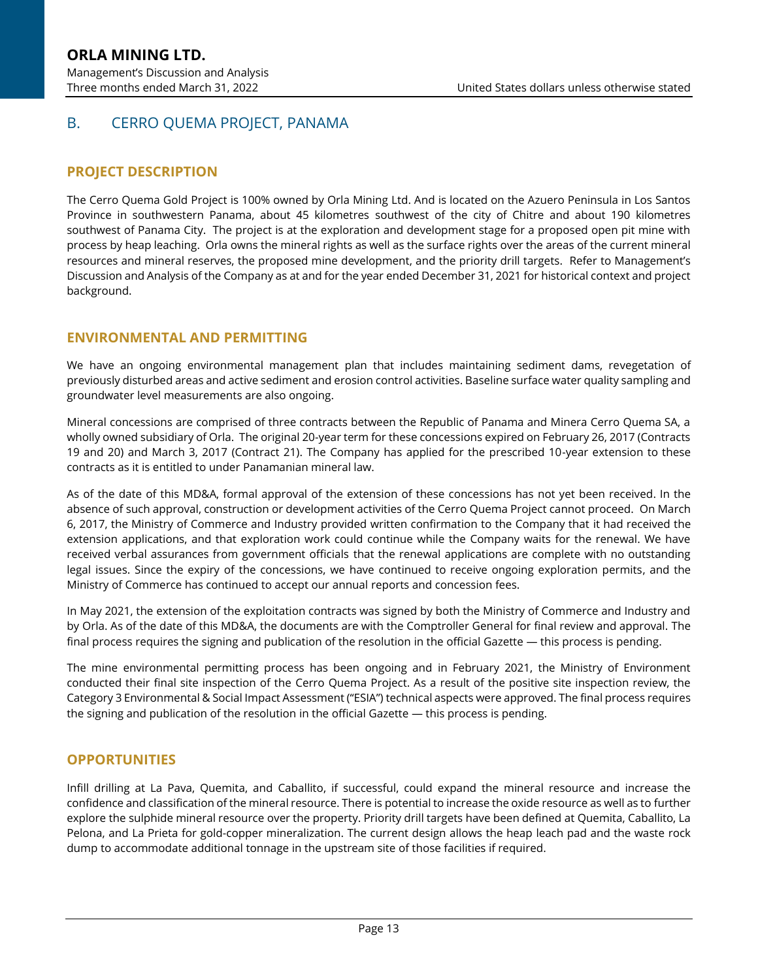# B. CERRO QUEMA PROJECT, PANAMA

### **PROJECT DESCRIPTION**

The Cerro Quema Gold Project is 100% owned by Orla Mining Ltd. And is located on the Azuero Peninsula in Los Santos Province in southwestern Panama, about 45 kilometres southwest of the city of Chitre and about 190 kilometres southwest of Panama City. The project is at the exploration and development stage for a proposed open pit mine with process by heap leaching. Orla owns the mineral rights as well as the surface rights over the areas of the current mineral resources and mineral reserves, the proposed mine development, and the priority drill targets. Refer to Management's Discussion and Analysis of the Company as at and for the year ended December 31, 2021 for historical context and project background.

### **ENVIRONMENTAL AND PERMITTING**

We have an ongoing environmental management plan that includes maintaining sediment dams, revegetation of previously disturbed areas and active sediment and erosion control activities. Baseline surface water quality sampling and groundwater level measurements are also ongoing.

Mineral concessions are comprised of three contracts between the Republic of Panama and Minera Cerro Quema SA, a wholly owned subsidiary of Orla. The original 20-year term for these concessions expired on February 26, 2017 (Contracts 19 and 20) and March 3, 2017 (Contract 21). The Company has applied for the prescribed 10-year extension to these contracts as it is entitled to under Panamanian mineral law.

As of the date of this MD&A, formal approval of the extension of these concessions has not yet been received. In the absence of such approval, construction or development activities of the Cerro Quema Project cannot proceed. On March 6, 2017, the Ministry of Commerce and Industry provided written confirmation to the Company that it had received the extension applications, and that exploration work could continue while the Company waits for the renewal. We have received verbal assurances from government officials that the renewal applications are complete with no outstanding legal issues. Since the expiry of the concessions, we have continued to receive ongoing exploration permits, and the Ministry of Commerce has continued to accept our annual reports and concession fees.

In May 2021, the extension of the exploitation contracts was signed by both the Ministry of Commerce and Industry and by Orla. As of the date of this MD&A, the documents are with the Comptroller General for final review and approval. The final process requires the signing and publication of the resolution in the official Gazette — this process is pending.

The mine environmental permitting process has been ongoing and in February 2021, the Ministry of Environment conducted their final site inspection of the Cerro Quema Project. As a result of the positive site inspection review, the Category 3 Environmental & Social Impact Assessment ("ESIA") technical aspects were approved. The final process requires the signing and publication of the resolution in the official Gazette — this process is pending.

#### **OPPORTUNITIES**

Infill drilling at La Pava, Quemita, and Caballito, if successful, could expand the mineral resource and increase the confidence and classification of the mineral resource. There is potential to increase the oxide resource as well as to further explore the sulphide mineral resource over the property. Priority drill targets have been defined at Quemita, Caballito, La Pelona, and La Prieta for gold-copper mineralization. The current design allows the heap leach pad and the waste rock dump to accommodate additional tonnage in the upstream site of those facilities if required.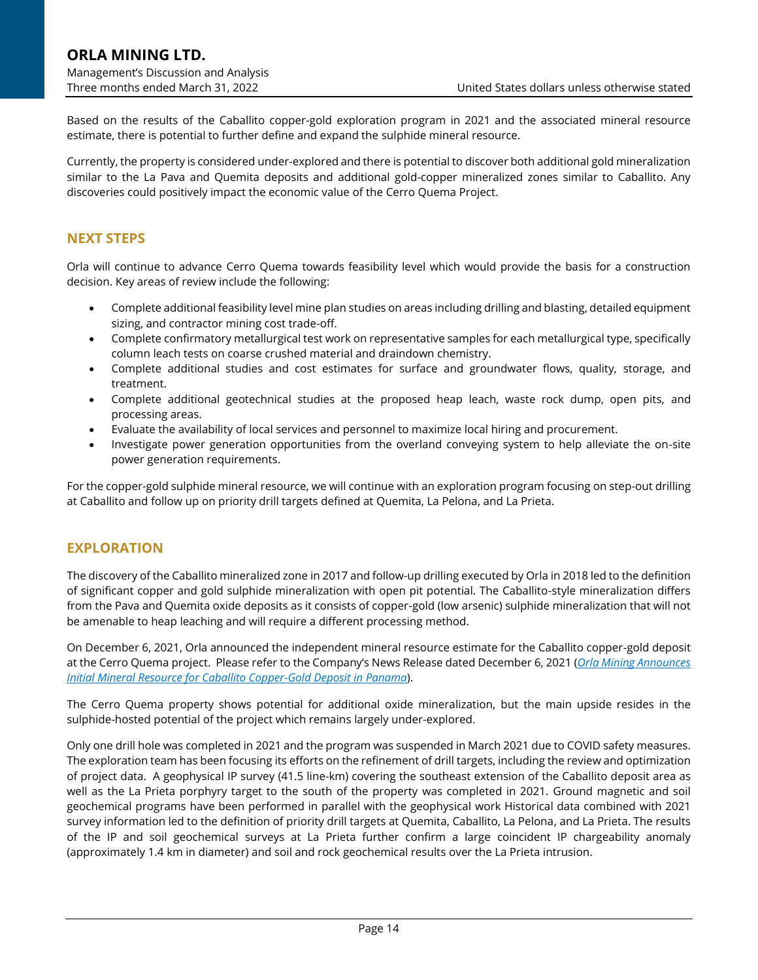Based on the results of the Caballito copper-gold exploration program in 2021 and the associated mineral resource estimate, there is potential to further define and expand the sulphide mineral resource.

Currently, the property is considered under-explored and there is potential to discover both additional gold mineralization similar to the La Pava and Quemita deposits and additional gold-copper mineralized zones similar to Caballito. Any discoveries could positively impact the economic value of the Cerro Quema Project.

### **NEXT STEPS**

Orla will continue to advance Cerro Quema towards feasibility level which would provide the basis for a construction decision. Key areas of review include the following:

- Complete additional feasibility level mine plan studies on areas including drilling and blasting, detailed equipment sizing, and contractor mining cost trade-off.
- Complete confirmatory metallurgical test work on representative samples for each metallurgical type, specifically column leach tests on coarse crushed material and draindown chemistry.
- Complete additional studies and cost estimates for surface and groundwater flows, quality, storage, and treatment.
- Complete additional geotechnical studies at the proposed heap leach, waste rock dump, open pits, and processing areas.
- Evaluate the availability of local services and personnel to maximize local hiring and procurement.
- Investigate power generation opportunities from the overland conveying system to help alleviate the on-site power generation requirements.

For the copper-gold sulphide mineral resource, we will continue with an exploration program focusing on step-out drilling at Caballito and follow up on priority drill targets defined at Quemita, La Pelona, and La Prieta.

### **EXPLORATION**

The discovery of the Caballito mineralized zone in 2017 and follow-up drilling executed by Orla in 2018 led to the definition of significant copper and gold sulphide mineralization with open pit potential. The Caballito-style mineralization differs from the Pava and Quemita oxide deposits as it consists of copper-gold (low arsenic) sulphide mineralization that will not be amenable to heap leaching and will require a different processing method.

On December 6, 2021, Orla announced the independent mineral resource estimate for the Caballito copper-gold deposit at the Cerro Quema project. Please refer to the Company's News Release dated December 6, 2021 (*[Orla Mining Announces](https://orlamining.com/news/orla-mining-announces-initial-mineral-resource-for-caballito-copper-gold-deposit-in-panama-1/)  [Initial Mineral Resource for Caballito Copper-Gold Deposit in Panama](https://orlamining.com/news/orla-mining-announces-initial-mineral-resource-for-caballito-copper-gold-deposit-in-panama-1/)*).

The Cerro Quema property shows potential for additional oxide mineralization, but the main upside resides in the sulphide-hosted potential of the project which remains largely under-explored.

Only one drill hole was completed in 2021 and the program was suspended in March 2021 due to COVID safety measures. The exploration team has been focusing its efforts on the refinement of drill targets, including the review and optimization of project data. A geophysical IP survey (41.5 line-km) covering the southeast extension of the Caballito deposit area as well as the La Prieta porphyry target to the south of the property was completed in 2021. Ground magnetic and soil geochemical programs have been performed in parallel with the geophysical work Historical data combined with 2021 survey information led to the definition of priority drill targets at Quemita, Caballito, La Pelona, and La Prieta. The results of the IP and soil geochemical surveys at La Prieta further confirm a large coincident IP chargeability anomaly (approximately 1.4 km in diameter) and soil and rock geochemical results over the La Prieta intrusion.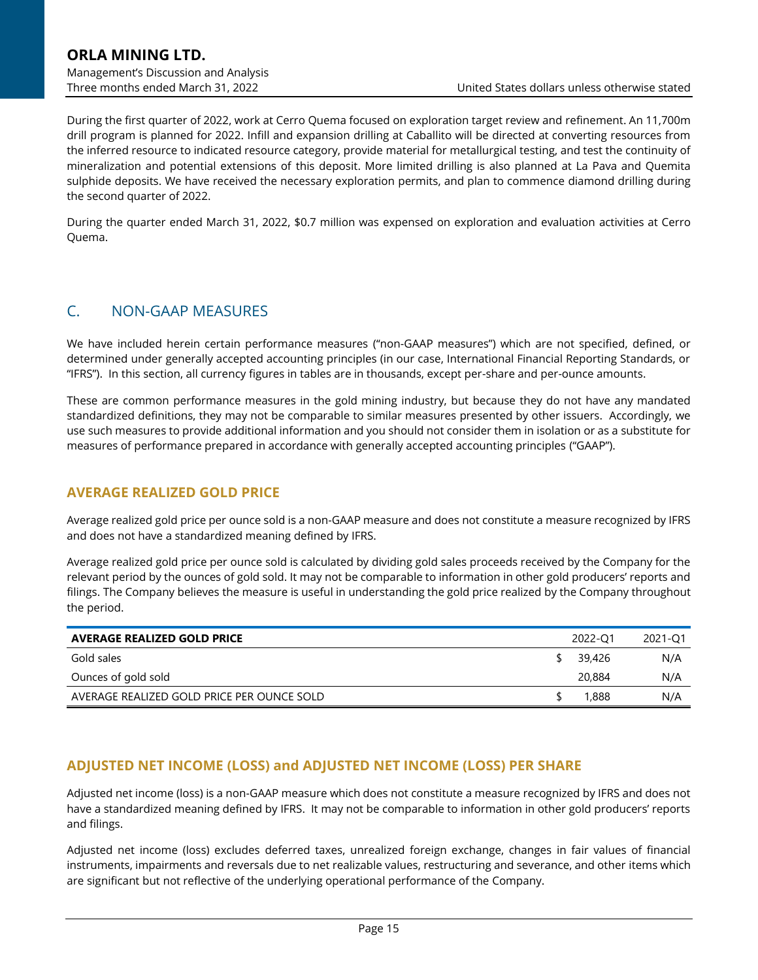During the first quarter of 2022, work at Cerro Quema focused on exploration target review and refinement. An 11,700m drill program is planned for 2022. Infill and expansion drilling at Caballito will be directed at converting resources from the inferred resource to indicated resource category, provide material for metallurgical testing, and test the continuity of mineralization and potential extensions of this deposit. More limited drilling is also planned at La Pava and Quemita sulphide deposits. We have received the necessary exploration permits, and plan to commence diamond drilling during the second quarter of 2022.

During the quarter ended March 31, 2022, \$0.7 million was expensed on exploration and evaluation activities at Cerro Quema.

# <span id="page-14-0"></span>C. NON-GAAP MEASURES

We have included herein certain performance measures ("non-GAAP measures") which are not specified, defined, or determined under generally accepted accounting principles (in our case, International Financial Reporting Standards, or "IFRS"). In this section, all currency figures in tables are in thousands, except per-share and per-ounce amounts.

These are common performance measures in the gold mining industry, but because they do not have any mandated standardized definitions, they may not be comparable to similar measures presented by other issuers. Accordingly, we use such measures to provide additional information and you should not consider them in isolation or as a substitute for measures of performance prepared in accordance with generally accepted accounting principles ("GAAP").

### **AVERAGE REALIZED GOLD PRICE**

Average realized gold price per ounce sold is a non-GAAP measure and does not constitute a measure recognized by IFRS and does not have a standardized meaning defined by IFRS.

Average realized gold price per ounce sold is calculated by dividing gold sales proceeds received by the Company for the relevant period by the ounces of gold sold. It may not be comparable to information in other gold producers' reports and filings. The Company believes the measure is useful in understanding the gold price realized by the Company throughout the period.

| <b>AVERAGE REALIZED GOLD PRICE</b>         | 2022-Q1 | 2021-Q1 |
|--------------------------------------------|---------|---------|
| Gold sales                                 | 39,426  | N/A     |
| Ounces of gold sold                        | 20,884  | N/A     |
| AVERAGE REALIZED GOLD PRICE PER OUNCE SOLD | 1,888   | N/A     |

# **ADJUSTED NET INCOME (LOSS) and ADJUSTED NET INCOME (LOSS) PER SHARE**

Adjusted net income (loss) is a non-GAAP measure which does not constitute a measure recognized by IFRS and does not have a standardized meaning defined by IFRS. It may not be comparable to information in other gold producers' reports and filings.

Adjusted net income (loss) excludes deferred taxes, unrealized foreign exchange, changes in fair values of financial instruments, impairments and reversals due to net realizable values, restructuring and severance, and other items which are significant but not reflective of the underlying operational performance of the Company.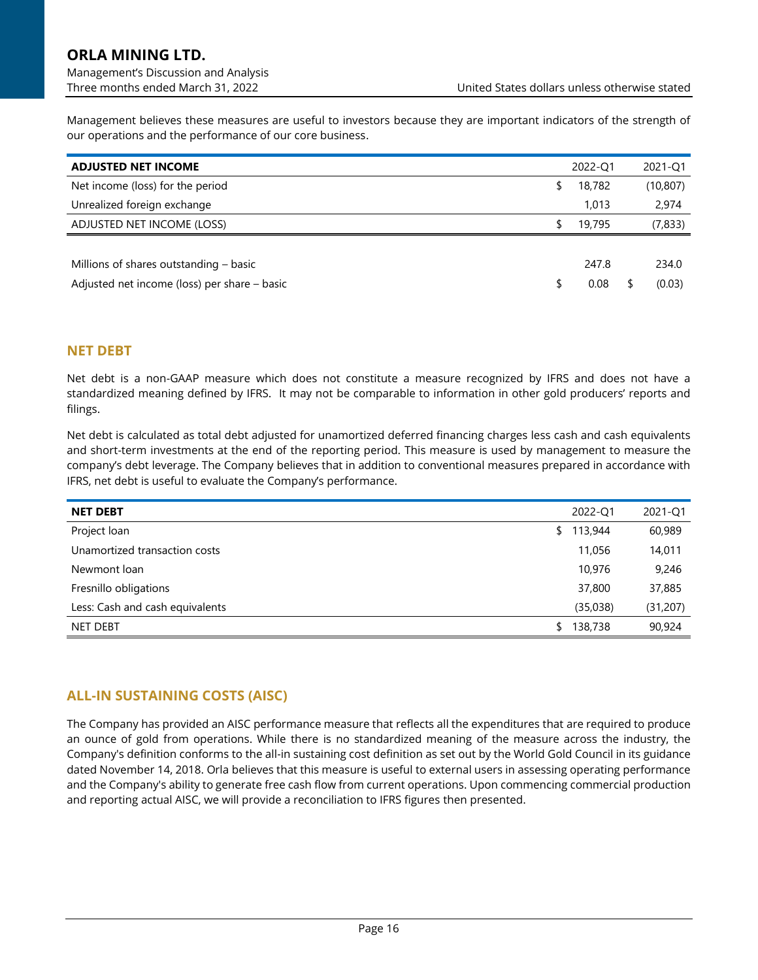Management believes these measures are useful to investors because they are important indicators of the strength of our operations and the performance of our core business.

| <b>ADJUSTED NET INCOME</b>                   | 2022-Q1      | 2021-Q1   |
|----------------------------------------------|--------------|-----------|
| Net income (loss) for the period             | \$<br>18,782 | (10, 807) |
| Unrealized foreign exchange                  | 1.013        | 2,974     |
| ADJUSTED NET INCOME (LOSS)                   | \$<br>19,795 | (7,833)   |
|                                              |              |           |
| Millions of shares outstanding $-$ basic     | 247.8        | 234.0     |
| Adjusted net income (loss) per share – basic | 0.08         | (0.03)    |

## **NET DEBT**

Net debt is a non-GAAP measure which does not constitute a measure recognized by IFRS and does not have a standardized meaning defined by IFRS. It may not be comparable to information in other gold producers' reports and filings.

Net debt is calculated as total debt adjusted for unamortized deferred financing charges less cash and cash equivalents and short-term investments at the end of the reporting period. This measure is used by management to measure the company's debt leverage. The Company believes that in addition to conventional measures prepared in accordance with IFRS, net debt is useful to evaluate the Company's performance.

| <b>NET DEBT</b>                 | 2022-Q1       | 2021-Q1   |
|---------------------------------|---------------|-----------|
| Project loan                    | \$<br>113,944 | 60,989    |
| Unamortized transaction costs   | 11,056        | 14,011    |
| Newmont loan                    | 10,976        | 9,246     |
| Fresnillo obligations           | 37,800        | 37,885    |
| Less: Cash and cash equivalents | (35,038)      | (31, 207) |
| <b>NET DEBT</b>                 | \$<br>138,738 | 90,924    |

# **ALL-IN SUSTAINING COSTS (AISC)**

The Company has provided an AISC performance measure that reflects all the expenditures that are required to produce an ounce of gold from operations. While there is no standardized meaning of the measure across the industry, the Company's definition conforms to the all-in sustaining cost definition as set out by the World Gold Council in its guidance dated November 14, 2018. Orla believes that this measure is useful to external users in assessing operating performance and the Company's ability to generate free cash flow from current operations. Upon commencing commercial production and reporting actual AISC, we will provide a reconciliation to IFRS figures then presented.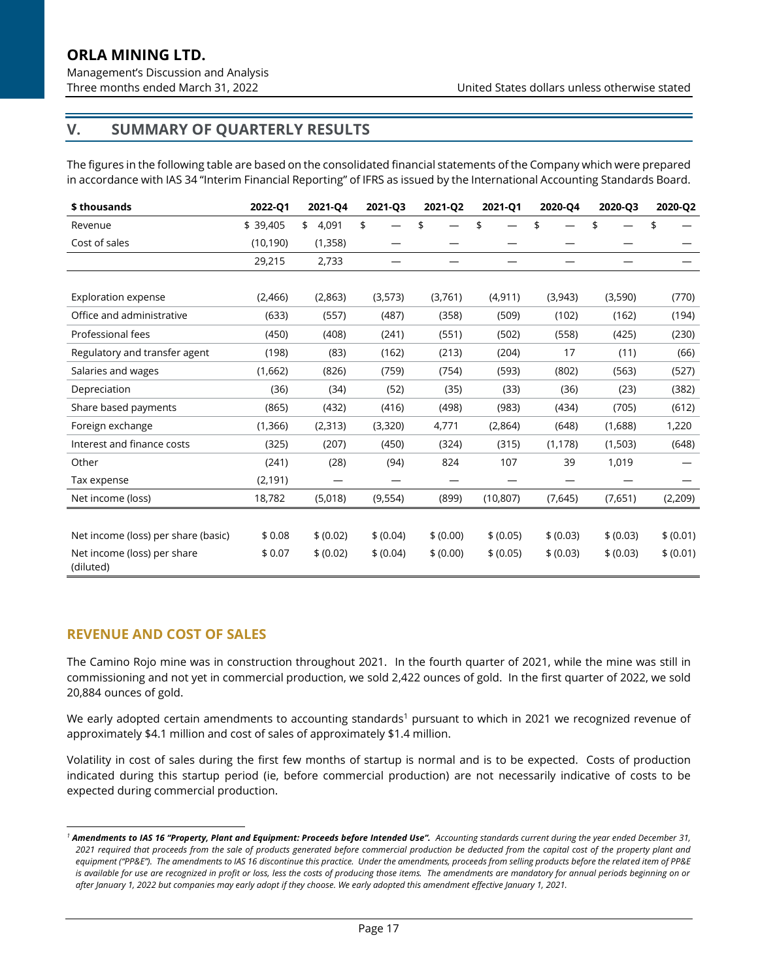# **V. SUMMARY OF QUARTERLY RESULTS**

The figures in the following table are based on the consolidated financial statements of the Company which were prepared in accordance with IAS 34 "Interim Financial Reporting" of IFRS as issued by the International Accounting Standards Board.

| \$ thousands                             | 2022-Q1   | 2021-Q4     | 2021-Q3   | 2021-Q2   | 2021-Q1   | 2020-Q4   | 2020-Q3   | 2020-Q2   |
|------------------------------------------|-----------|-------------|-----------|-----------|-----------|-----------|-----------|-----------|
| Revenue                                  | \$39,405  | 4,091<br>\$ | \$        | \$        | \$        | \$        | \$        | \$        |
| Cost of sales                            | (10, 190) | (1, 358)    |           |           |           |           |           |           |
|                                          | 29,215    | 2,733       |           |           |           |           |           |           |
|                                          |           |             |           |           |           |           |           |           |
| <b>Exploration expense</b>               | (2,466)   | (2,863)     | (3,573)   | (3,761)   | (4, 911)  | (3,943)   | (3,590)   | (770)     |
| Office and administrative                | (633)     | (557)       | (487)     | (358)     | (509)     | (102)     | (162)     | (194)     |
| Professional fees                        | (450)     | (408)       | (241)     | (551)     | (502)     | (558)     | (425)     | (230)     |
| Regulatory and transfer agent            | (198)     | (83)        | (162)     | (213)     | (204)     | 17        | (11)      | (66)      |
| Salaries and wages                       | (1,662)   | (826)       | (759)     | (754)     | (593)     | (802)     | (563)     | (527)     |
| Depreciation                             | (36)      | (34)        | (52)      | (35)      | (33)      | (36)      | (23)      | (382)     |
| Share based payments                     | (865)     | (432)       | (416)     | (498)     | (983)     | (434)     | (705)     | (612)     |
| Foreign exchange                         | (1, 366)  | (2, 313)    | (3,320)   | 4,771     | (2,864)   | (648)     | (1,688)   | 1,220     |
| Interest and finance costs               | (325)     | (207)       | (450)     | (324)     | (315)     | (1, 178)  | (1,503)   | (648)     |
| Other                                    | (241)     | (28)        | (94)      | 824       | 107       | 39        | 1,019     |           |
| Tax expense                              | (2, 191)  |             |           |           |           |           |           |           |
| Net income (loss)                        | 18,782    | (5,018)     | (9, 554)  | (899)     | (10, 807) | (7,645)   | (7,651)   | (2, 209)  |
|                                          |           |             |           |           |           |           |           |           |
| Net income (loss) per share (basic)      | \$0.08    | \$ (0.02)   | \$ (0.04) | \$ (0.00) | \$ (0.05) | \$ (0.03) | \$ (0.03) | \$ (0.01) |
| Net income (loss) per share<br>(diluted) | \$0.07    | \$ (0.02)   | \$ (0.04) | \$ (0.00) | \$ (0.05) | \$ (0.03) | \$ (0.03) | \$ (0.01) |

### **REVENUE AND COST OF SALES**

The Camino Rojo mine was in construction throughout 2021. In the fourth quarter of 2021, while the mine was still in commissioning and not yet in commercial production, we sold 2,422 ounces of gold. In the first quarter of 2022, we sold 20,884 ounces of gold.

We early adopted certain amendments to accounting standards<sup>1</sup> pursuant to which in 2021 we recognized revenue of approximately \$4.1 million and cost of sales of approximately \$1.4 million.

Volatility in cost of sales during the first few months of startup is normal and is to be expected. Costs of production indicated during this startup period (ie, before commercial production) are not necessarily indicative of costs to be expected during commercial production.

*<sup>1</sup> Amendments to IAS 16 "Property, Plant and Equipment: Proceeds before Intended Use". Accounting standards current during the year ended December 31, 2021 required that proceeds from the sale of products generated before commercial production be deducted from the capital cost of the property plant and equipment ("PP&E"). The amendments to IAS 16 discontinue this practice. Under the amendments, proceeds from selling products before the related item of PP&E is available for use are recognized in profit or loss, less the costs of producing those items. The amendments are mandatory for annual periods beginning on or after January 1, 2022 but companies may early adopt if they choose. We early adopted this amendment effective January 1, 2021.*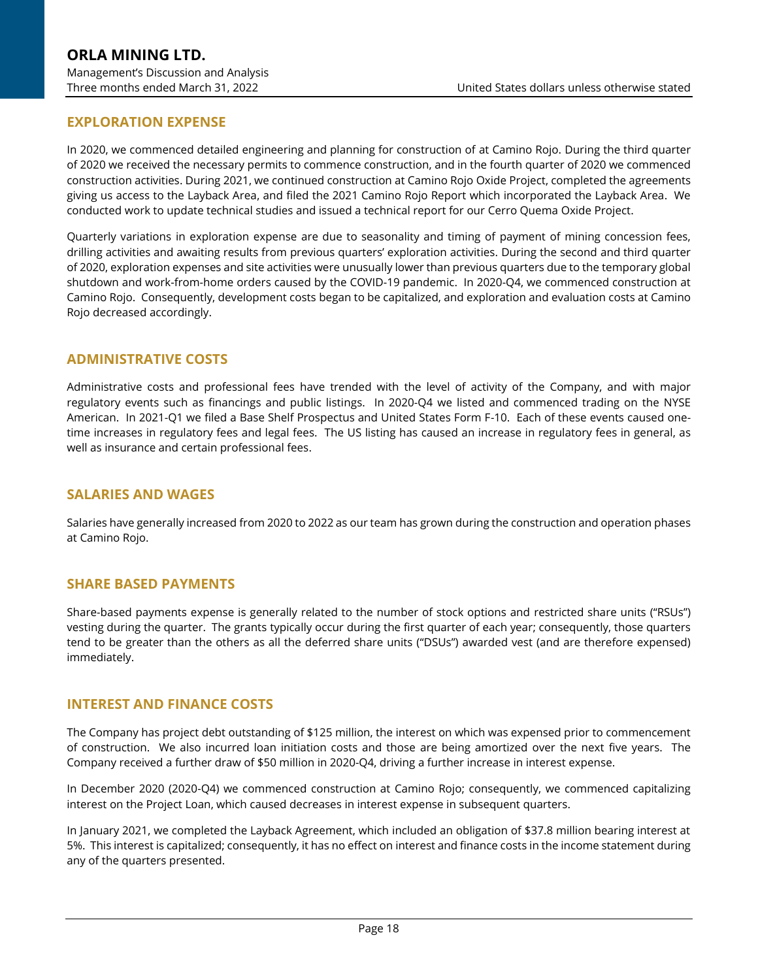## **EXPLORATION EXPENSE**

In 2020, we commenced detailed engineering and planning for construction of at Camino Rojo. During the third quarter of 2020 we received the necessary permits to commence construction, and in the fourth quarter of 2020 we commenced construction activities. During 2021, we continued construction at Camino Rojo Oxide Project, completed the agreements giving us access to the Layback Area, and filed the 2021 Camino Rojo Report which incorporated the Layback Area. We conducted work to update technical studies and issued a technical report for our Cerro Quema Oxide Project.

Quarterly variations in exploration expense are due to seasonality and timing of payment of mining concession fees, drilling activities and awaiting results from previous quarters' exploration activities. During the second and third quarter of 2020, exploration expenses and site activities were unusually lower than previous quarters due to the temporary global shutdown and work-from-home orders caused by the COVID-19 pandemic. In 2020-Q4, we commenced construction at Camino Rojo. Consequently, development costs began to be capitalized, and exploration and evaluation costs at Camino Rojo decreased accordingly.

### **ADMINISTRATIVE COSTS**

Administrative costs and professional fees have trended with the level of activity of the Company, and with major regulatory events such as financings and public listings. In 2020-Q4 we listed and commenced trading on the NYSE American. In 2021-Q1 we filed a Base Shelf Prospectus and United States Form F-10. Each of these events caused onetime increases in regulatory fees and legal fees. The US listing has caused an increase in regulatory fees in general, as well as insurance and certain professional fees.

#### **SALARIES AND WAGES**

Salaries have generally increased from 2020 to 2022 as our team has grown during the construction and operation phases at Camino Rojo.

#### **SHARE BASED PAYMENTS**

Share-based payments expense is generally related to the number of stock options and restricted share units ("RSUs") vesting during the quarter. The grants typically occur during the first quarter of each year; consequently, those quarters tend to be greater than the others as all the deferred share units ("DSUs") awarded vest (and are therefore expensed) immediately.

#### **INTEREST AND FINANCE COSTS**

The Company has project debt outstanding of \$125 million, the interest on which was expensed prior to commencement of construction. We also incurred loan initiation costs and those are being amortized over the next five years. The Company received a further draw of \$50 million in 2020-Q4, driving a further increase in interest expense.

In December 2020 (2020-Q4) we commenced construction at Camino Rojo; consequently, we commenced capitalizing interest on the Project Loan, which caused decreases in interest expense in subsequent quarters.

In January 2021, we completed the Layback Agreement, which included an obligation of \$37.8 million bearing interest at 5%. This interest is capitalized; consequently, it has no effect on interest and finance costs in the income statement during any of the quarters presented.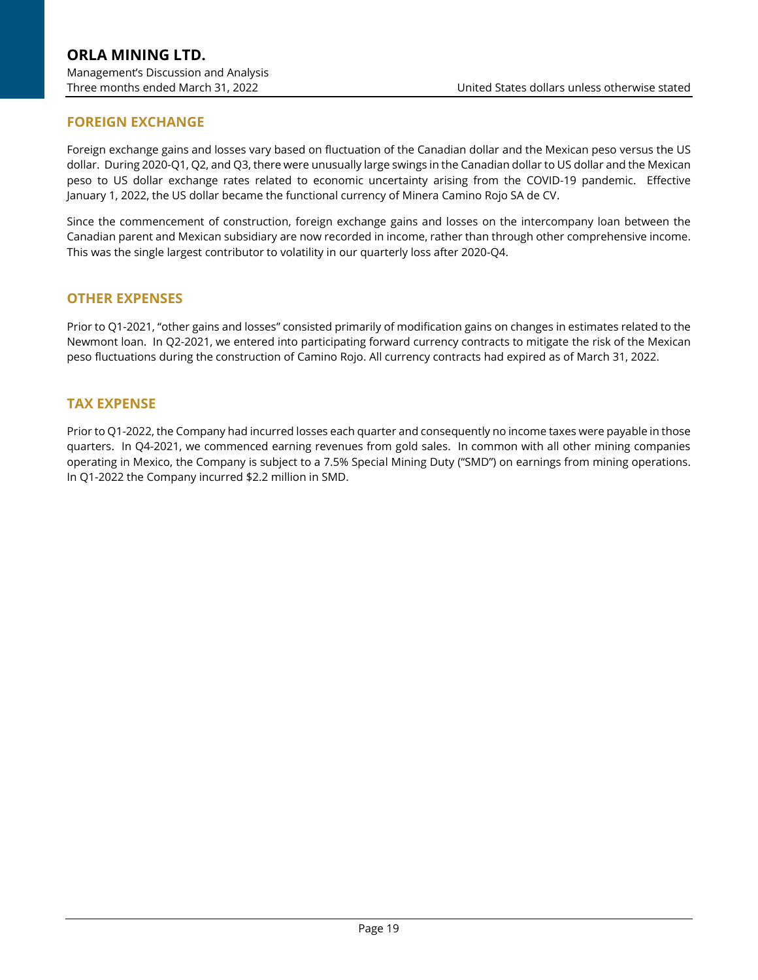# **FOREIGN EXCHANGE**

Foreign exchange gains and losses vary based on fluctuation of the Canadian dollar and the Mexican peso versus the US dollar. During 2020-Q1, Q2, and Q3, there were unusually large swings in the Canadian dollar to US dollar and the Mexican peso to US dollar exchange rates related to economic uncertainty arising from the COVID-19 pandemic. Effective January 1, 2022, the US dollar became the functional currency of Minera Camino Rojo SA de CV.

Since the commencement of construction, foreign exchange gains and losses on the intercompany loan between the Canadian parent and Mexican subsidiary are now recorded in income, rather than through other comprehensive income. This was the single largest contributor to volatility in our quarterly loss after 2020-Q4.

### **OTHER EXPENSES**

Prior to Q1-2021, "other gains and losses" consisted primarily of modification gains on changes in estimates related to the Newmont loan. In Q2-2021, we entered into participating forward currency contracts to mitigate the risk of the Mexican peso fluctuations during the construction of Camino Rojo. All currency contracts had expired as of March 31, 2022.

### **TAX EXPENSE**

Prior to Q1-2022, the Company had incurred losses each quarter and consequently no income taxes were payable in those quarters. In Q4-2021, we commenced earning revenues from gold sales. In common with all other mining companies operating in Mexico, the Company is subject to a 7.5% Special Mining Duty ("SMD") on earnings from mining operations. In Q1-2022 the Company incurred \$2.2 million in SMD.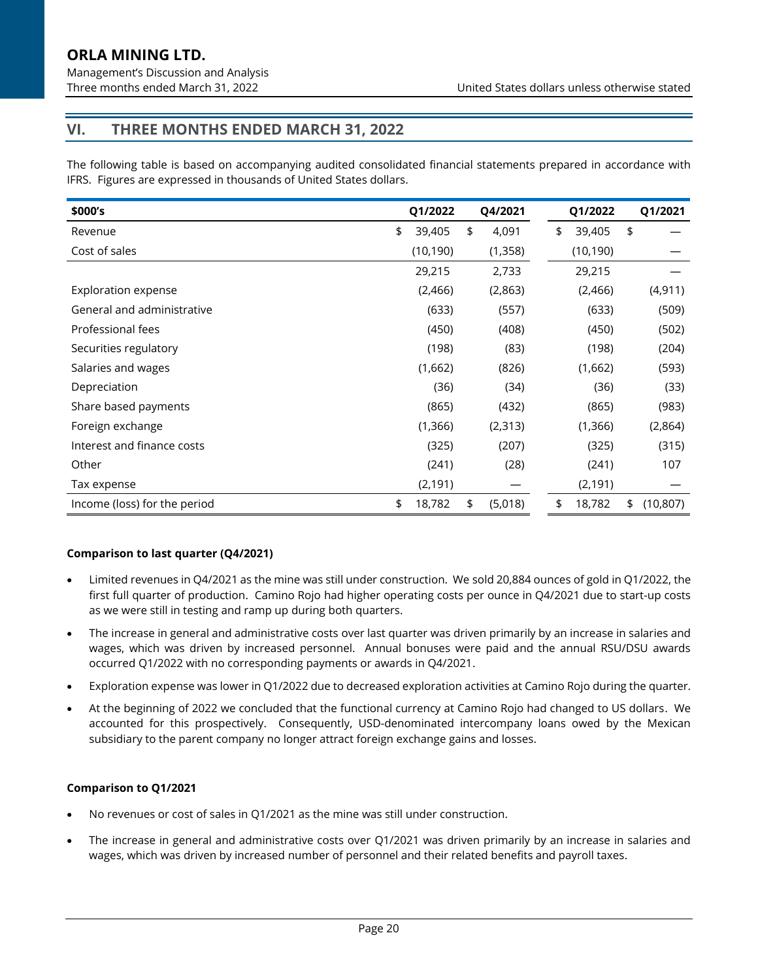Management's Discussion and Analysis

# **VI. THREE MONTHS ENDED MARCH 31, 2022**

The following table is based on accompanying audited consolidated financial statements prepared in accordance with IFRS. Figures are expressed in thousands of United States dollars.

| \$000's                      | Q1/2022      | Q4/2021       | Q1/2022      | Q1/2021         |
|------------------------------|--------------|---------------|--------------|-----------------|
| Revenue                      | \$<br>39,405 | \$<br>4,091   | \$<br>39,405 | \$              |
| Cost of sales                | (10, 190)    | (1, 358)      | (10, 190)    |                 |
|                              | 29,215       | 2,733         | 29,215       |                 |
| <b>Exploration expense</b>   | (2,466)      | (2,863)       | (2,466)      | (4, 911)        |
| General and administrative   | (633)        | (557)         | (633)        | (509)           |
| Professional fees            | (450)        | (408)         | (450)        | (502)           |
| Securities regulatory        | (198)        | (83)          | (198)        | (204)           |
| Salaries and wages           | (1,662)      | (826)         | (1,662)      | (593)           |
| Depreciation                 | (36)         | (34)          | (36)         | (33)            |
| Share based payments         | (865)        | (432)         | (865)        | (983)           |
| Foreign exchange             | (1,366)      | (2, 313)      | (1, 366)     | (2,864)         |
| Interest and finance costs   | (325)        | (207)         | (325)        | (315)           |
| Other                        | (241)        | (28)          | (241)        | 107             |
| Tax expense                  | (2, 191)     |               | (2, 191)     |                 |
| Income (loss) for the period | \$<br>18,782 | \$<br>(5,018) | 18,782<br>\$ | \$<br>(10, 807) |

#### **Comparison to last quarter (Q4/2021)**

- Limited revenues in Q4/2021 as the mine was still under construction. We sold 20,884 ounces of gold in Q1/2022, the first full quarter of production. Camino Rojo had higher operating costs per ounce in Q4/2021 due to start-up costs as we were still in testing and ramp up during both quarters.
- The increase in general and administrative costs over last quarter was driven primarily by an increase in salaries and wages, which was driven by increased personnel. Annual bonuses were paid and the annual RSU/DSU awards occurred Q1/2022 with no corresponding payments or awards in Q4/2021.
- Exploration expense was lower in Q1/2022 due to decreased exploration activities at Camino Rojo during the quarter.
- At the beginning of 2022 we concluded that the functional currency at Camino Rojo had changed to US dollars. We accounted for this prospectively. Consequently, USD-denominated intercompany loans owed by the Mexican subsidiary to the parent company no longer attract foreign exchange gains and losses.

#### **Comparison to Q1/2021**

- No revenues or cost of sales in Q1/2021 as the mine was still under construction.
- The increase in general and administrative costs over Q1/2021 was driven primarily by an increase in salaries and wages, which was driven by increased number of personnel and their related benefits and payroll taxes.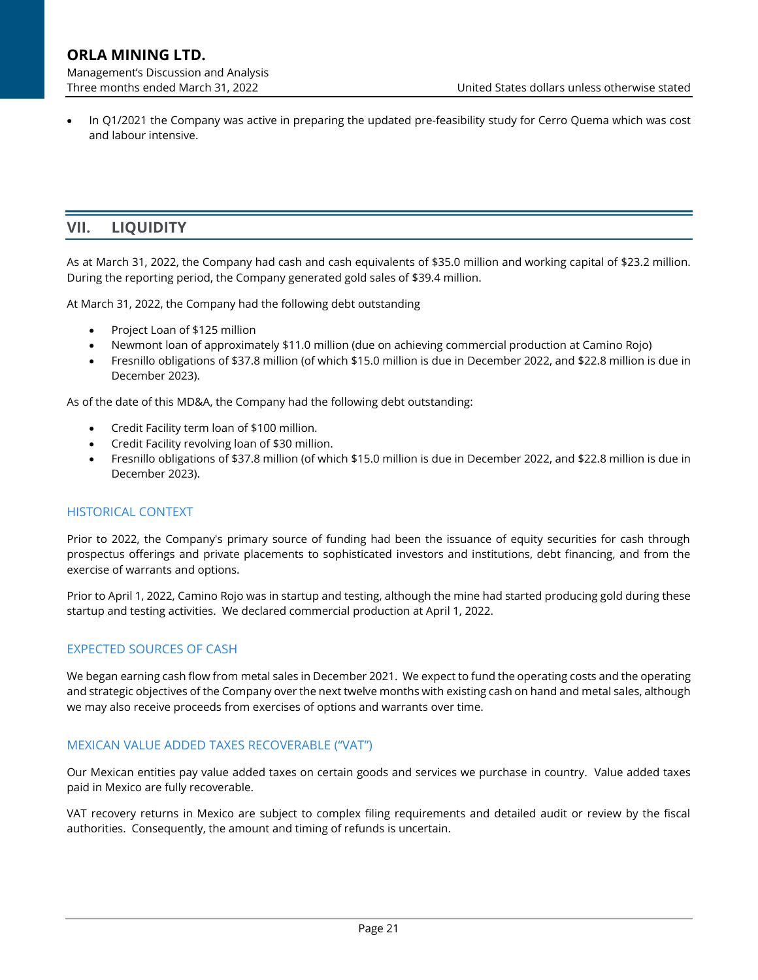• In Q1/2021 the Company was active in preparing the updated pre-feasibility study for Cerro Quema which was cost and labour intensive.

# **VII. LIQUIDITY**

As at March 31, 2022, the Company had cash and cash equivalents of \$35.0 million and working capital of \$23.2 million. During the reporting period, the Company generated gold sales of \$39.4 million.

At March 31, 2022, the Company had the following debt outstanding

- Project Loan of \$125 million
- Newmont loan of approximately \$11.0 million (due on achieving commercial production at Camino Rojo)
- Fresnillo obligations of \$37.8 million (of which \$15.0 million is due in December 2022, and \$22.8 million is due in December 2023).

As of the date of this MD&A, the Company had the following debt outstanding:

- Credit Facility term loan of \$100 million.
- Credit Facility revolving loan of \$30 million.
- Fresnillo obligations of \$37.8 million (of which \$15.0 million is due in December 2022, and \$22.8 million is due in December 2023).

#### HISTORICAL CONTEXT

Prior to 2022, the Company's primary source of funding had been the issuance of equity securities for cash through prospectus offerings and private placements to sophisticated investors and institutions, debt financing, and from the exercise of warrants and options.

Prior to April 1, 2022, Camino Rojo was in startup and testing, although the mine had started producing gold during these startup and testing activities. We declared commercial production at April 1, 2022.

#### EXPECTED SOURCES OF CASH

We began earning cash flow from metal sales in December 2021. We expect to fund the operating costs and the operating and strategic objectives of the Company over the next twelve months with existing cash on hand and metal sales, although we may also receive proceeds from exercises of options and warrants over time.

#### MEXICAN VALUE ADDED TAXES RECOVERABLE ("VAT")

Our Mexican entities pay value added taxes on certain goods and services we purchase in country. Value added taxes paid in Mexico are fully recoverable.

VAT recovery returns in Mexico are subject to complex filing requirements and detailed audit or review by the fiscal authorities. Consequently, the amount and timing of refunds is uncertain.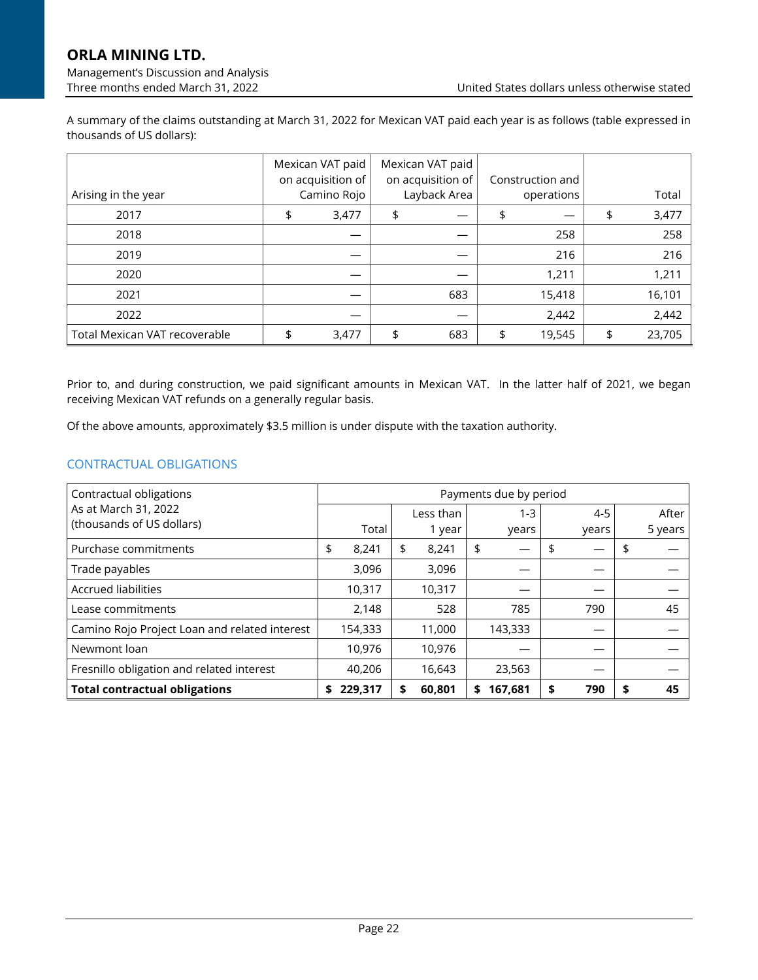Management's Discussion and Analysis

A summary of the claims outstanding at March 31, 2022 for Mexican VAT paid each year is as follows (table expressed in thousands of US dollars):

|                               | Mexican VAT paid<br>on acquisition of | Mexican VAT paid<br>on acquisition of | Construction and |              |
|-------------------------------|---------------------------------------|---------------------------------------|------------------|--------------|
| Arising in the year           | Camino Rojo                           | Layback Area                          | operations       | Total        |
| 2017                          | \$<br>3,477                           |                                       |                  | 3,477        |
| 2018                          |                                       |                                       | 258              | 258          |
| 2019                          |                                       |                                       | 216              | 216          |
| 2020                          |                                       |                                       | 1,211            | 1,211        |
| 2021                          |                                       | 683                                   | 15,418           | 16,101       |
| 2022                          |                                       |                                       | 2,442            | 2,442        |
| Total Mexican VAT recoverable | \$<br>3,477                           | \$<br>683                             | \$<br>19,545     | \$<br>23,705 |

Prior to, and during construction, we paid significant amounts in Mexican VAT. In the latter half of 2021, we began receiving Mexican VAT refunds on a generally regular basis.

Of the above amounts, approximately \$3.5 million is under dispute with the taxation authority.

### CONTRACTUAL OBLIGATIONS

| Contractual obligations                       |    |         |              |    | Payments due by period |           |         |
|-----------------------------------------------|----|---------|--------------|----|------------------------|-----------|---------|
| As at March 31, 2022                          |    |         | Less than    |    | $1 - 3$                | $4 - 5$   | After   |
| (thousands of US dollars)                     |    | Total   | 1 year       |    | years                  | years     | 5 years |
| Purchase commitments                          | \$ | 8,241   | \$<br>8,241  | \$ |                        |           |         |
| Trade payables                                |    | 3,096   | 3,096        |    |                        |           |         |
| <b>Accrued liabilities</b>                    |    | 10,317  | 10,317       |    |                        |           |         |
| Lease commitments                             |    | 2,148   | 528          |    | 785                    | 790       | 45      |
| Camino Rojo Project Loan and related interest |    | 154,333 | 11,000       |    | 143,333                |           |         |
| Newmont loan                                  |    | 10,976  | 10,976       |    |                        |           |         |
| Fresnillo obligation and related interest     |    | 40,206  | 16,643       |    | 23,563                 |           |         |
| <b>Total contractual obligations</b>          | S  | 229,317 | \$<br>60,801 | S. | 167,681                | \$<br>790 | 45      |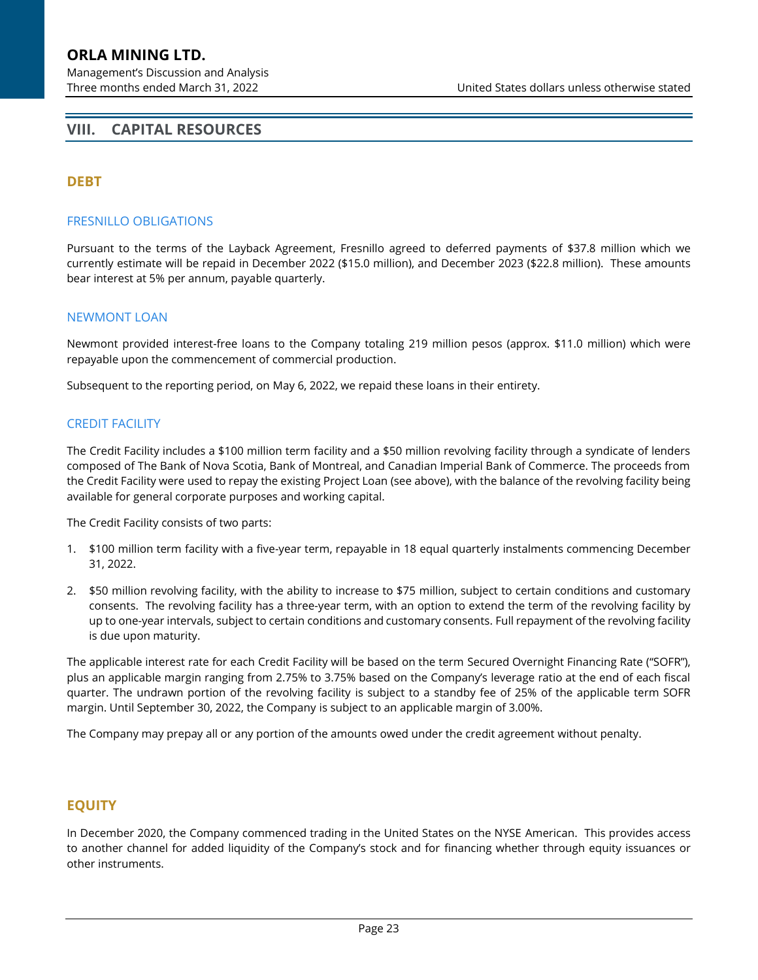# <span id="page-22-0"></span>**VIII. CAPITAL RESOURCES**

## **DEBT**

#### FRESNILLO OBLIGATIONS

Pursuant to the terms of the Layback Agreement, Fresnillo agreed to deferred payments of \$37.8 million which we currently estimate will be repaid in December 2022 (\$15.0 million), and December 2023 (\$22.8 million). These amounts bear interest at 5% per annum, payable quarterly.

#### NEWMONT LOAN

Newmont provided interest-free loans to the Company totaling 219 million pesos (approx. \$11.0 million) which were repayable upon the commencement of commercial production.

Subsequent to the reporting period, on May 6, 2022, we repaid these loans in their entirety.

#### CREDIT FACILITY

The Credit Facility includes a \$100 million term facility and a \$50 million revolving facility through a syndicate of lenders composed of The Bank of Nova Scotia, Bank of Montreal, and Canadian Imperial Bank of Commerce. The proceeds from the Credit Facility were used to repay the existing Project Loan (see above), with the balance of the revolving facility being available for general corporate purposes and working capital.

The Credit Facility consists of two parts:

- 1. \$100 million term facility with a five-year term, repayable in 18 equal quarterly instalments commencing December 31, 2022.
- 2. \$50 million revolving facility, with the ability to increase to \$75 million, subject to certain conditions and customary consents. The revolving facility has a three-year term, with an option to extend the term of the revolving facility by up to one-year intervals, subject to certain conditions and customary consents. Full repayment of the revolving facility is due upon maturity.

The applicable interest rate for each Credit Facility will be based on the term Secured Overnight Financing Rate ("SOFR"), plus an applicable margin ranging from 2.75% to 3.75% based on the Company's leverage ratio at the end of each fiscal quarter. The undrawn portion of the revolving facility is subject to a standby fee of 25% of the applicable term SOFR margin. Until September 30, 2022, the Company is subject to an applicable margin of 3.00%.

The Company may prepay all or any portion of the amounts owed under the credit agreement without penalty.

### **EQUITY**

In December 2020, the Company commenced trading in the United States on the NYSE American. This provides access to another channel for added liquidity of the Company's stock and for financing whether through equity issuances or other instruments.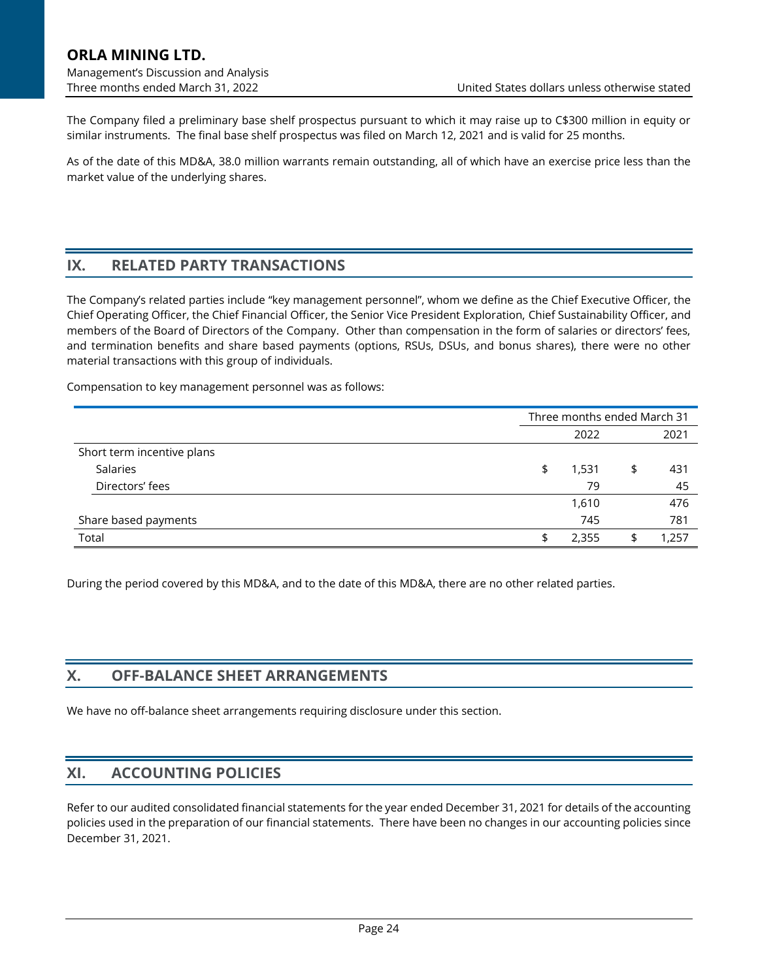# **ORLA MINING LTD.** Management's Discussion and Analysis

The Company filed a preliminary base shelf prospectus pursuant to which it may raise up to C\$300 million in equity or similar instruments. The final base shelf prospectus was filed on March 12, 2021 and is valid for 25 months.

As of the date of this MD&A, 38.0 million warrants remain outstanding, all of which have an exercise price less than the market value of the underlying shares.

# **IX. RELATED PARTY TRANSACTIONS**

The Company's related parties include "key management personnel", whom we define as the Chief Executive Officer, the Chief Operating Officer, the Chief Financial Officer, the Senior Vice President Exploration, Chief Sustainability Officer, and members of the Board of Directors of the Company. Other than compensation in the form of salaries or directors' fees, and termination benefits and share based payments (options, RSUs, DSUs, and bonus shares), there were no other material transactions with this group of individuals.

Compensation to key management personnel was as follows:

|                            |    | Three months ended March 31 |           |
|----------------------------|----|-----------------------------|-----------|
|                            |    | 2022                        | 2021      |
| Short term incentive plans |    |                             |           |
| Salaries                   | \$ | 1,531                       | \$<br>431 |
| Directors' fees            |    | 79                          | 45        |
|                            |    | 1,610                       | 476       |
| Share based payments       |    | 745                         | 781       |
| Total                      | S  | 2,355                       | 1,257     |

During the period covered by this MD&A, and to the date of this MD&A, there are no other related parties.

### **X. OFF-BALANCE SHEET ARRANGEMENTS**

We have no off-balance sheet arrangements requiring disclosure under this section.

### **XI. ACCOUNTING POLICIES**

Refer to our audited consolidated financial statements for the year ended December 31, 2021 for details of the accounting policies used in the preparation of our financial statements. There have been no changes in our accounting policies since December 31, 2021.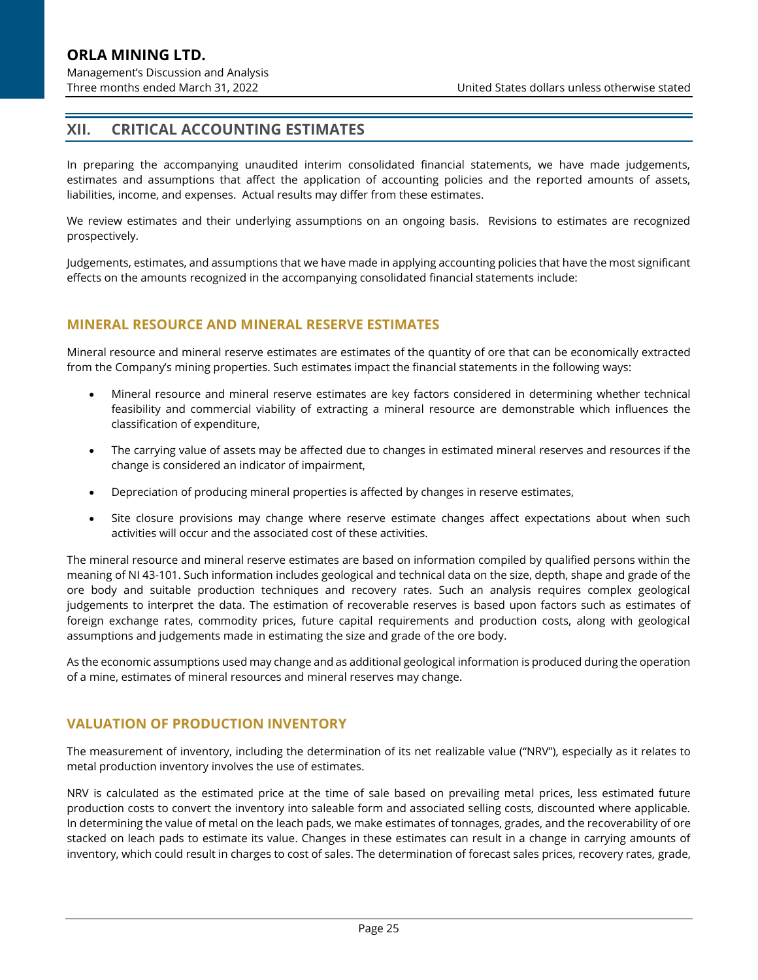# **XII. CRITICAL ACCOUNTING ESTIMATES**

In preparing the accompanying unaudited interim consolidated financial statements, we have made judgements, estimates and assumptions that affect the application of accounting policies and the reported amounts of assets, liabilities, income, and expenses. Actual results may differ from these estimates.

We review estimates and their underlying assumptions on an ongoing basis. Revisions to estimates are recognized prospectively.

Judgements, estimates, and assumptions that we have made in applying accounting policies that have the most significant effects on the amounts recognized in the accompanying consolidated financial statements include:

#### **MINERAL RESOURCE AND MINERAL RESERVE ESTIMATES**

Mineral resource and mineral reserve estimates are estimates of the quantity of ore that can be economically extracted from the Company's mining properties. Such estimates impact the financial statements in the following ways:

- Mineral resource and mineral reserve estimates are key factors considered in determining whether technical feasibility and commercial viability of extracting a mineral resource are demonstrable which influences the classification of expenditure,
- The carrying value of assets may be affected due to changes in estimated mineral reserves and resources if the change is considered an indicator of impairment,
- Depreciation of producing mineral properties is affected by changes in reserve estimates,
- Site closure provisions may change where reserve estimate changes affect expectations about when such activities will occur and the associated cost of these activities.

The mineral resource and mineral reserve estimates are based on information compiled by qualified persons within the meaning of NI 43-101. Such information includes geological and technical data on the size, depth, shape and grade of the ore body and suitable production techniques and recovery rates. Such an analysis requires complex geological judgements to interpret the data. The estimation of recoverable reserves is based upon factors such as estimates of foreign exchange rates, commodity prices, future capital requirements and production costs, along with geological assumptions and judgements made in estimating the size and grade of the ore body.

As the economic assumptions used may change and as additional geological information is produced during the operation of a mine, estimates of mineral resources and mineral reserves may change.

# **VALUATION OF PRODUCTION INVENTORY**

The measurement of inventory, including the determination of its net realizable value ("NRV"), especially as it relates to metal production inventory involves the use of estimates.

NRV is calculated as the estimated price at the time of sale based on prevailing metal prices, less estimated future production costs to convert the inventory into saleable form and associated selling costs, discounted where applicable. In determining the value of metal on the leach pads, we make estimates of tonnages, grades, and the recoverability of ore stacked on leach pads to estimate its value. Changes in these estimates can result in a change in carrying amounts of inventory, which could result in charges to cost of sales. The determination of forecast sales prices, recovery rates, grade,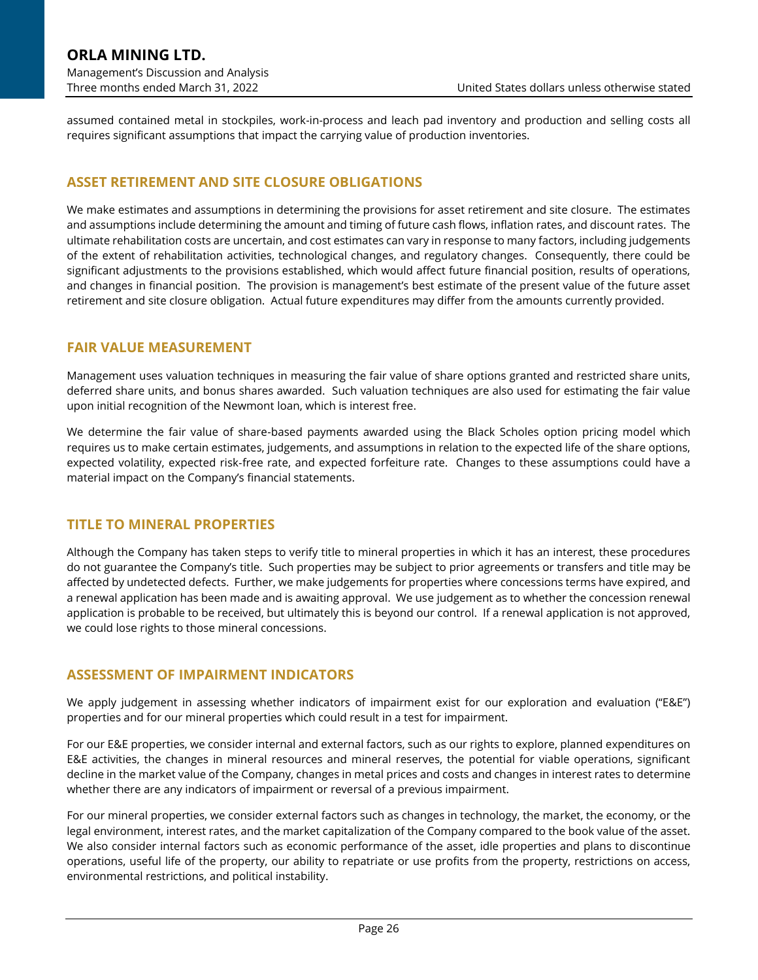assumed contained metal in stockpiles, work-in-process and leach pad inventory and production and selling costs all requires significant assumptions that impact the carrying value of production inventories.

### **ASSET RETIREMENT AND SITE CLOSURE OBLIGATIONS**

We make estimates and assumptions in determining the provisions for asset retirement and site closure. The estimates and assumptions include determining the amount and timing of future cash flows, inflation rates, and discount rates. The ultimate rehabilitation costs are uncertain, and cost estimates can vary in response to many factors, including judgements of the extent of rehabilitation activities, technological changes, and regulatory changes. Consequently, there could be significant adjustments to the provisions established, which would affect future financial position, results of operations, and changes in financial position. The provision is management's best estimate of the present value of the future asset retirement and site closure obligation. Actual future expenditures may differ from the amounts currently provided.

### **FAIR VALUE MEASUREMENT**

Management uses valuation techniques in measuring the fair value of share options granted and restricted share units, deferred share units, and bonus shares awarded. Such valuation techniques are also used for estimating the fair value upon initial recognition of the Newmont loan, which is interest free.

We determine the fair value of share-based payments awarded using the Black Scholes option pricing model which requires us to make certain estimates, judgements, and assumptions in relation to the expected life of the share options, expected volatility, expected risk‐free rate, and expected forfeiture rate. Changes to these assumptions could have a material impact on the Company's financial statements.

### **TITLE TO MINERAL PROPERTIES**

Although the Company has taken steps to verify title to mineral properties in which it has an interest, these procedures do not guarantee the Company's title. Such properties may be subject to prior agreements or transfers and title may be affected by undetected defects. Further, we make judgements for properties where concessions terms have expired, and a renewal application has been made and is awaiting approval. We use judgement as to whether the concession renewal application is probable to be received, but ultimately this is beyond our control. If a renewal application is not approved, we could lose rights to those mineral concessions.

#### **ASSESSMENT OF IMPAIRMENT INDICATORS**

We apply judgement in assessing whether indicators of impairment exist for our exploration and evaluation ("E&E") properties and for our mineral properties which could result in a test for impairment.

For our E&E properties, we consider internal and external factors, such as our rights to explore, planned expenditures on E&E activities, the changes in mineral resources and mineral reserves, the potential for viable operations, significant decline in the market value of the Company, changes in metal prices and costs and changes in interest rates to determine whether there are any indicators of impairment or reversal of a previous impairment.

For our mineral properties, we consider external factors such as changes in technology, the market, the economy, or the legal environment, interest rates, and the market capitalization of the Company compared to the book value of the asset. We also consider internal factors such as economic performance of the asset, idle properties and plans to discontinue operations, useful life of the property, our ability to repatriate or use profits from the property, restrictions on access, environmental restrictions, and political instability.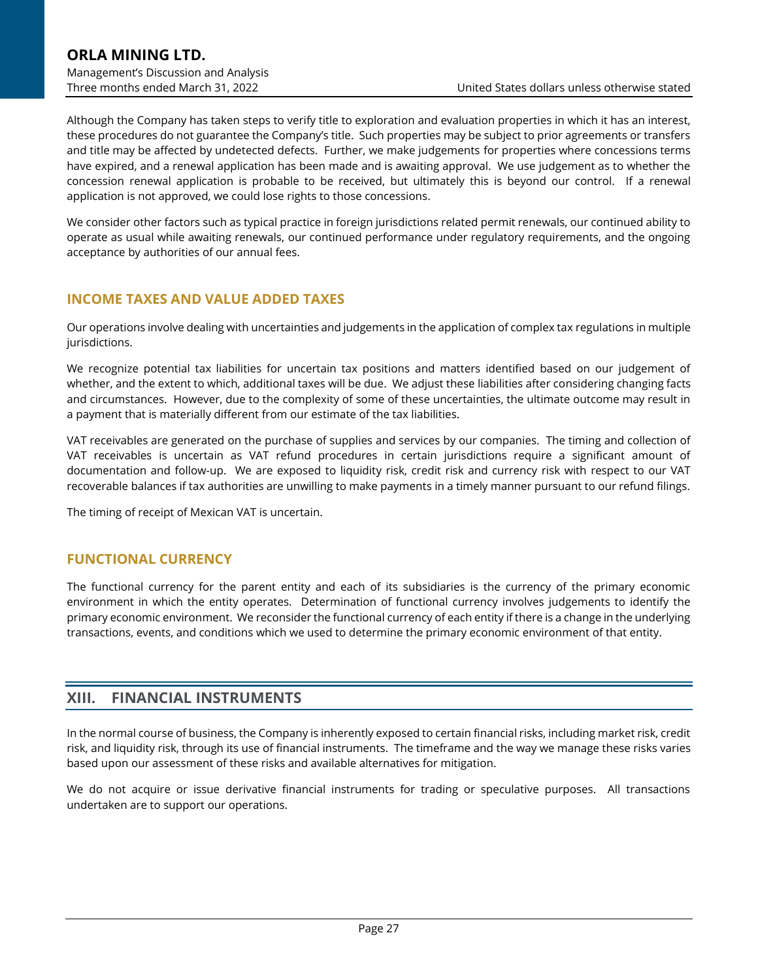Although the Company has taken steps to verify title to exploration and evaluation properties in which it has an interest, these procedures do not guarantee the Company's title. Such properties may be subject to prior agreements or transfers and title may be affected by undetected defects. Further, we make judgements for properties where concessions terms have expired, and a renewal application has been made and is awaiting approval. We use judgement as to whether the concession renewal application is probable to be received, but ultimately this is beyond our control. If a renewal application is not approved, we could lose rights to those concessions.

We consider other factors such as typical practice in foreign jurisdictions related permit renewals, our continued ability to operate as usual while awaiting renewals, our continued performance under regulatory requirements, and the ongoing acceptance by authorities of our annual fees.

## **INCOME TAXES AND VALUE ADDED TAXES**

Our operations involve dealing with uncertainties and judgements in the application of complex tax regulations in multiple jurisdictions.

We recognize potential tax liabilities for uncertain tax positions and matters identified based on our judgement of whether, and the extent to which, additional taxes will be due. We adjust these liabilities after considering changing facts and circumstances. However, due to the complexity of some of these uncertainties, the ultimate outcome may result in a payment that is materially different from our estimate of the tax liabilities.

VAT receivables are generated on the purchase of supplies and services by our companies. The timing and collection of VAT receivables is uncertain as VAT refund procedures in certain jurisdictions require a significant amount of documentation and follow-up. We are exposed to liquidity risk, credit risk and currency risk with respect to our VAT recoverable balances if tax authorities are unwilling to make payments in a timely manner pursuant to our refund filings.

The timing of receipt of Mexican VAT is uncertain.

#### **FUNCTIONAL CURRENCY**

The functional currency for the parent entity and each of its subsidiaries is the currency of the primary economic environment in which the entity operates. Determination of functional currency involves judgements to identify the primary economic environment. We reconsider the functional currency of each entity if there is a change in the underlying transactions, events, and conditions which we used to determine the primary economic environment of that entity.

### **XIII. FINANCIAL INSTRUMENTS**

In the normal course of business, the Company is inherently exposed to certain financial risks, including market risk, credit risk, and liquidity risk, through its use of financial instruments. The timeframe and the way we manage these risks varies based upon our assessment of these risks and available alternatives for mitigation.

We do not acquire or issue derivative financial instruments for trading or speculative purposes. All transactions undertaken are to support our operations.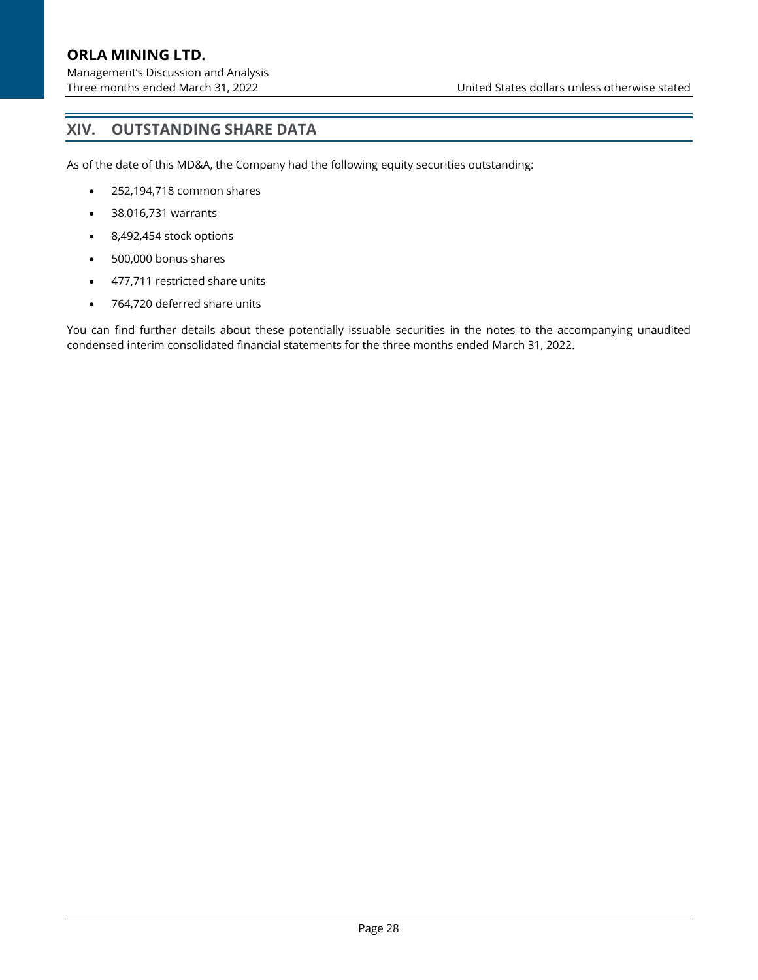# **XIV. OUTSTANDING SHARE DATA**

As of the date of this MD&A, the Company had the following equity securities outstanding:

- 252,194,718 common shares
- 38,016,731 warrants
- 8,492,454 stock options
- 500,000 bonus shares
- 477,711 restricted share units
- 764,720 deferred share units

You can find further details about these potentially issuable securities in the notes to the accompanying unaudited condensed interim consolidated financial statements for the three months ended March 31, 2022.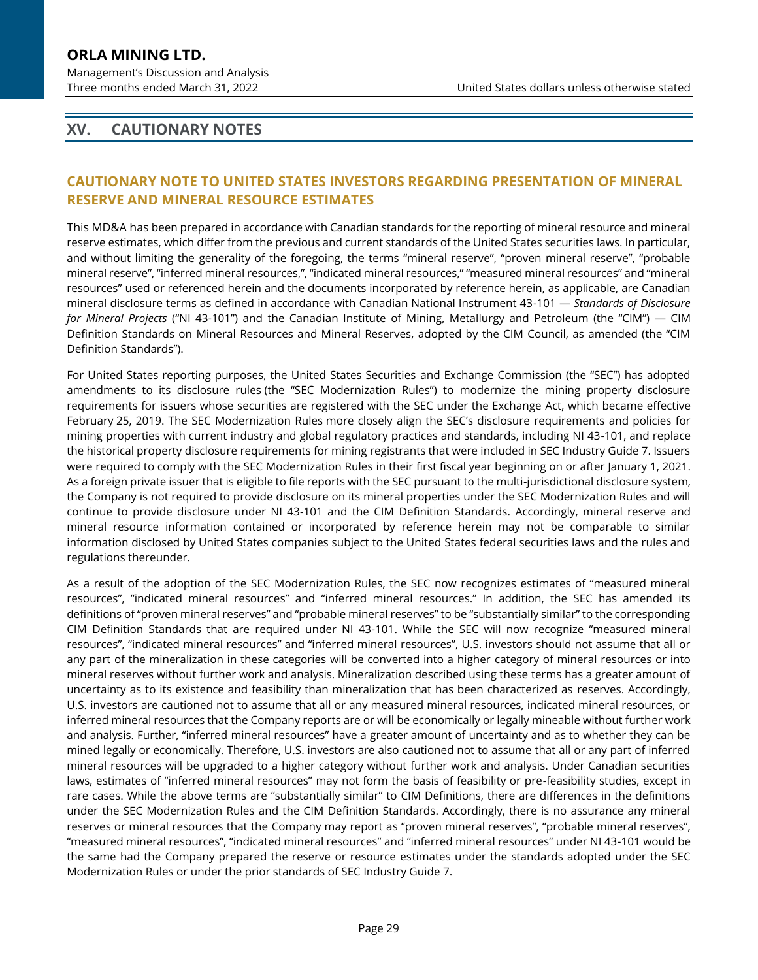Management's Discussion and Analysis

# <span id="page-28-0"></span>**XV. CAUTIONARY NOTES**

# **CAUTIONARY NOTE TO UNITED STATES INVESTORS REGARDING PRESENTATION OF MINERAL RESERVE AND MINERAL RESOURCE ESTIMATES**

This MD&A has been prepared in accordance with Canadian standards for the reporting of mineral resource and mineral reserve estimates, which differ from the previous and current standards of the United States securities laws. In particular, and without limiting the generality of the foregoing, the terms "mineral reserve", "proven mineral reserve", "probable mineral reserve", "inferred mineral resources,", "indicated mineral resources," "measured mineral resources" and "mineral resources" used or referenced herein and the documents incorporated by reference herein, as applicable, are Canadian mineral disclosure terms as defined in accordance with Canadian National Instrument 43-101 — *Standards of Disclosure for Mineral Projects* ("NI 43-101") and the Canadian Institute of Mining, Metallurgy and Petroleum (the "CIM") — CIM Definition Standards on Mineral Resources and Mineral Reserves, adopted by the CIM Council, as amended (the "CIM Definition Standards").

For United States reporting purposes, the United States Securities and Exchange Commission (the "SEC") has adopted amendments to its disclosure rules (the "SEC Modernization Rules") to modernize the mining property disclosure requirements for issuers whose securities are registered with the SEC under the Exchange Act, which became effective February 25, 2019. The SEC Modernization Rules more closely align the SEC's disclosure requirements and policies for mining properties with current industry and global regulatory practices and standards, including NI 43-101, and replace the historical property disclosure requirements for mining registrants that were included in SEC Industry Guide 7. Issuers were required to comply with the SEC Modernization Rules in their first fiscal year beginning on or after January 1, 2021. As a foreign private issuer that is eligible to file reports with the SEC pursuant to the multi-jurisdictional disclosure system, the Company is not required to provide disclosure on its mineral properties under the SEC Modernization Rules and will continue to provide disclosure under NI 43-101 and the CIM Definition Standards. Accordingly, mineral reserve and mineral resource information contained or incorporated by reference herein may not be comparable to similar information disclosed by United States companies subject to the United States federal securities laws and the rules and regulations thereunder.

As a result of the adoption of the SEC Modernization Rules, the SEC now recognizes estimates of "measured mineral resources", "indicated mineral resources" and "inferred mineral resources." In addition, the SEC has amended its definitions of "proven mineral reserves" and "probable mineral reserves" to be "substantially similar" to the corresponding CIM Definition Standards that are required under NI 43-101. While the SEC will now recognize "measured mineral resources", "indicated mineral resources" and "inferred mineral resources", U.S. investors should not assume that all or any part of the mineralization in these categories will be converted into a higher category of mineral resources or into mineral reserves without further work and analysis. Mineralization described using these terms has a greater amount of uncertainty as to its existence and feasibility than mineralization that has been characterized as reserves. Accordingly, U.S. investors are cautioned not to assume that all or any measured mineral resources, indicated mineral resources, or inferred mineral resources that the Company reports are or will be economically or legally mineable without further work and analysis. Further, "inferred mineral resources" have a greater amount of uncertainty and as to whether they can be mined legally or economically. Therefore, U.S. investors are also cautioned not to assume that all or any part of inferred mineral resources will be upgraded to a higher category without further work and analysis. Under Canadian securities laws, estimates of "inferred mineral resources" may not form the basis of feasibility or pre-feasibility studies, except in rare cases. While the above terms are "substantially similar" to CIM Definitions, there are differences in the definitions under the SEC Modernization Rules and the CIM Definition Standards. Accordingly, there is no assurance any mineral reserves or mineral resources that the Company may report as "proven mineral reserves", "probable mineral reserves", "measured mineral resources", "indicated mineral resources" and "inferred mineral resources" under NI 43-101 would be the same had the Company prepared the reserve or resource estimates under the standards adopted under the SEC Modernization Rules or under the prior standards of SEC Industry Guide 7.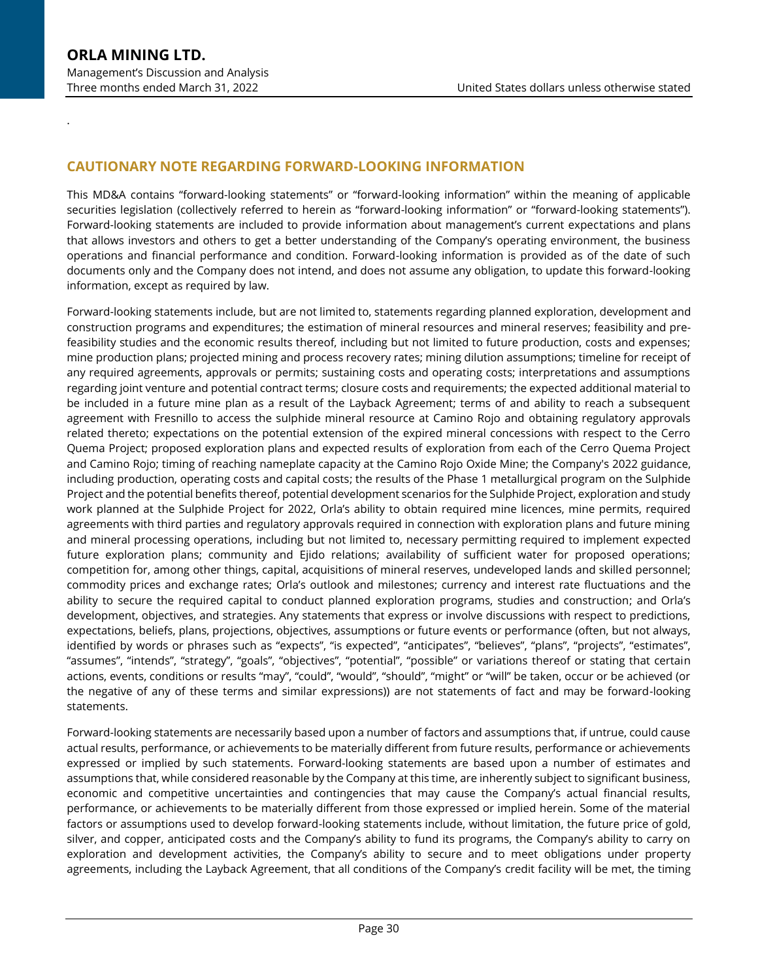.

## **CAUTIONARY NOTE REGARDING FORWARD-LOOKING INFORMATION**

This MD&A contains "forward-looking statements" or "forward-looking information" within the meaning of applicable securities legislation (collectively referred to herein as "forward-looking information" or "forward-looking statements"). Forward-looking statements are included to provide information about management's current expectations and plans that allows investors and others to get a better understanding of the Company's operating environment, the business operations and financial performance and condition. Forward-looking information is provided as of the date of such documents only and the Company does not intend, and does not assume any obligation, to update this forward-looking information, except as required by law.

Forward-looking statements include, but are not limited to, statements regarding planned exploration, development and construction programs and expenditures; the estimation of mineral resources and mineral reserves; feasibility and prefeasibility studies and the economic results thereof, including but not limited to future production, costs and expenses; mine production plans; projected mining and process recovery rates; mining dilution assumptions; timeline for receipt of any required agreements, approvals or permits; sustaining costs and operating costs; interpretations and assumptions regarding joint venture and potential contract terms; closure costs and requirements; the expected additional material to be included in a future mine plan as a result of the Layback Agreement; terms of and ability to reach a subsequent agreement with Fresnillo to access the sulphide mineral resource at Camino Rojo and obtaining regulatory approvals related thereto; expectations on the potential extension of the expired mineral concessions with respect to the Cerro Quema Project; proposed exploration plans and expected results of exploration from each of the Cerro Quema Project and Camino Rojo; timing of reaching nameplate capacity at the Camino Rojo Oxide Mine; the Company's 2022 guidance, including production, operating costs and capital costs; the results of the Phase 1 metallurgical program on the Sulphide Project and the potential benefits thereof, potential development scenarios for the Sulphide Project, exploration and study work planned at the Sulphide Project for 2022, Orla's ability to obtain required mine licences, mine permits, required agreements with third parties and regulatory approvals required in connection with exploration plans and future mining and mineral processing operations, including but not limited to, necessary permitting required to implement expected future exploration plans; community and Ejido relations; availability of sufficient water for proposed operations; competition for, among other things, capital, acquisitions of mineral reserves, undeveloped lands and skilled personnel; commodity prices and exchange rates; Orla's outlook and milestones; currency and interest rate fluctuations and the ability to secure the required capital to conduct planned exploration programs, studies and construction; and Orla's development, objectives, and strategies. Any statements that express or involve discussions with respect to predictions, expectations, beliefs, plans, projections, objectives, assumptions or future events or performance (often, but not always, identified by words or phrases such as "expects", "is expected", "anticipates", "believes", "plans", "projects", "estimates", "assumes", "intends", "strategy", "goals", "objectives", "potential", "possible" or variations thereof or stating that certain actions, events, conditions or results "may", "could", "would", "should", "might" or "will" be taken, occur or be achieved (or the negative of any of these terms and similar expressions)) are not statements of fact and may be forward-looking statements.

Forward-looking statements are necessarily based upon a number of factors and assumptions that, if untrue, could cause actual results, performance, or achievements to be materially different from future results, performance or achievements expressed or implied by such statements. Forward-looking statements are based upon a number of estimates and assumptions that, while considered reasonable by the Company at this time, are inherently subject to significant business, economic and competitive uncertainties and contingencies that may cause the Company's actual financial results, performance, or achievements to be materially different from those expressed or implied herein. Some of the material factors or assumptions used to develop forward-looking statements include, without limitation, the future price of gold, silver, and copper, anticipated costs and the Company's ability to fund its programs, the Company's ability to carry on exploration and development activities, the Company's ability to secure and to meet obligations under property agreements, including the Layback Agreement, that all conditions of the Company's credit facility will be met, the timing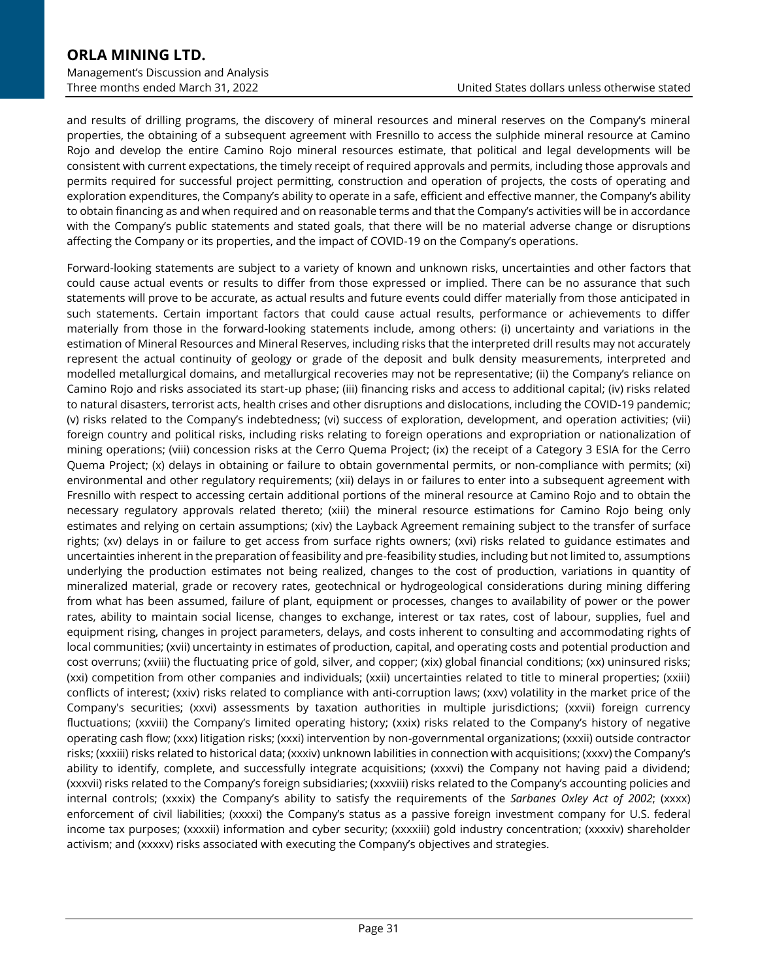and results of drilling programs, the discovery of mineral resources and mineral reserves on the Company's mineral properties, the obtaining of a subsequent agreement with Fresnillo to access the sulphide mineral resource at Camino Rojo and develop the entire Camino Rojo mineral resources estimate, that political and legal developments will be consistent with current expectations, the timely receipt of required approvals and permits, including those approvals and permits required for successful project permitting, construction and operation of projects, the costs of operating and exploration expenditures, the Company's ability to operate in a safe, efficient and effective manner, the Company's ability to obtain financing as and when required and on reasonable terms and that the Company's activities will be in accordance with the Company's public statements and stated goals, that there will be no material adverse change or disruptions affecting the Company or its properties, and the impact of COVID-19 on the Company's operations.

Forward-looking statements are subject to a variety of known and unknown risks, uncertainties and other factors that could cause actual events or results to differ from those expressed or implied. There can be no assurance that such statements will prove to be accurate, as actual results and future events could differ materially from those anticipated in such statements. Certain important factors that could cause actual results, performance or achievements to differ materially from those in the forward-looking statements include, among others: (i) uncertainty and variations in the estimation of Mineral Resources and Mineral Reserves, including risks that the interpreted drill results may not accurately represent the actual continuity of geology or grade of the deposit and bulk density measurements, interpreted and modelled metallurgical domains, and metallurgical recoveries may not be representative; (ii) the Company's reliance on Camino Rojo and risks associated its start-up phase; (iii) financing risks and access to additional capital; (iv) risks related to natural disasters, terrorist acts, health crises and other disruptions and dislocations, including the COVID-19 pandemic; (v) risks related to the Company's indebtedness; (vi) success of exploration, development, and operation activities; (vii) foreign country and political risks, including risks relating to foreign operations and expropriation or nationalization of mining operations; (viii) concession risks at the Cerro Quema Project; (ix) the receipt of a Category 3 ESIA for the Cerro Quema Project; (x) delays in obtaining or failure to obtain governmental permits, or non-compliance with permits; (xi) environmental and other regulatory requirements; (xii) delays in or failures to enter into a subsequent agreement with Fresnillo with respect to accessing certain additional portions of the mineral resource at Camino Rojo and to obtain the necessary regulatory approvals related thereto; (xiii) the mineral resource estimations for Camino Rojo being only estimates and relying on certain assumptions; (xiv) the Layback Agreement remaining subject to the transfer of surface rights; (xv) delays in or failure to get access from surface rights owners; (xvi) risks related to guidance estimates and uncertainties inherent in the preparation of feasibility and pre-feasibility studies, including but not limited to, assumptions underlying the production estimates not being realized, changes to the cost of production, variations in quantity of mineralized material, grade or recovery rates, geotechnical or hydrogeological considerations during mining differing from what has been assumed, failure of plant, equipment or processes, changes to availability of power or the power rates, ability to maintain social license, changes to exchange, interest or tax rates, cost of labour, supplies, fuel and equipment rising, changes in project parameters, delays, and costs inherent to consulting and accommodating rights of local communities; (xvii) uncertainty in estimates of production, capital, and operating costs and potential production and cost overruns; (xviii) the fluctuating price of gold, silver, and copper; (xix) global financial conditions; (xx) uninsured risks; (xxi) competition from other companies and individuals; (xxii) uncertainties related to title to mineral properties; (xxiii) conflicts of interest; (xxiv) risks related to compliance with anti-corruption laws; (xxv) volatility in the market price of the Company's securities; (xxvi) assessments by taxation authorities in multiple jurisdictions; (xxvii) foreign currency fluctuations; (xxviii) the Company's limited operating history; (xxix) risks related to the Company's history of negative operating cash flow; (xxx) litigation risks; (xxxi) intervention by non-governmental organizations; (xxxii) outside contractor risks; (xxxiii) risks related to historical data; (xxxiv) unknown labilities in connection with acquisitions; (xxxv) the Company's ability to identify, complete, and successfully integrate acquisitions; (xxxvi) the Company not having paid a dividend; (xxxvii) risks related to the Company's foreign subsidiaries; (xxxviii) risks related to the Company's accounting policies and internal controls; (xxxix) the Company's ability to satisfy the requirements of the *Sarbanes Oxley Act of 2002*; (xxxx) enforcement of civil liabilities; (xxxxi) the Company's status as a passive foreign investment company for U.S. federal income tax purposes; (xxxxii) information and cyber security; (xxxxiii) gold industry concentration; (xxxxiv) shareholder activism; and (xxxxv) risks associated with executing the Company's objectives and strategies.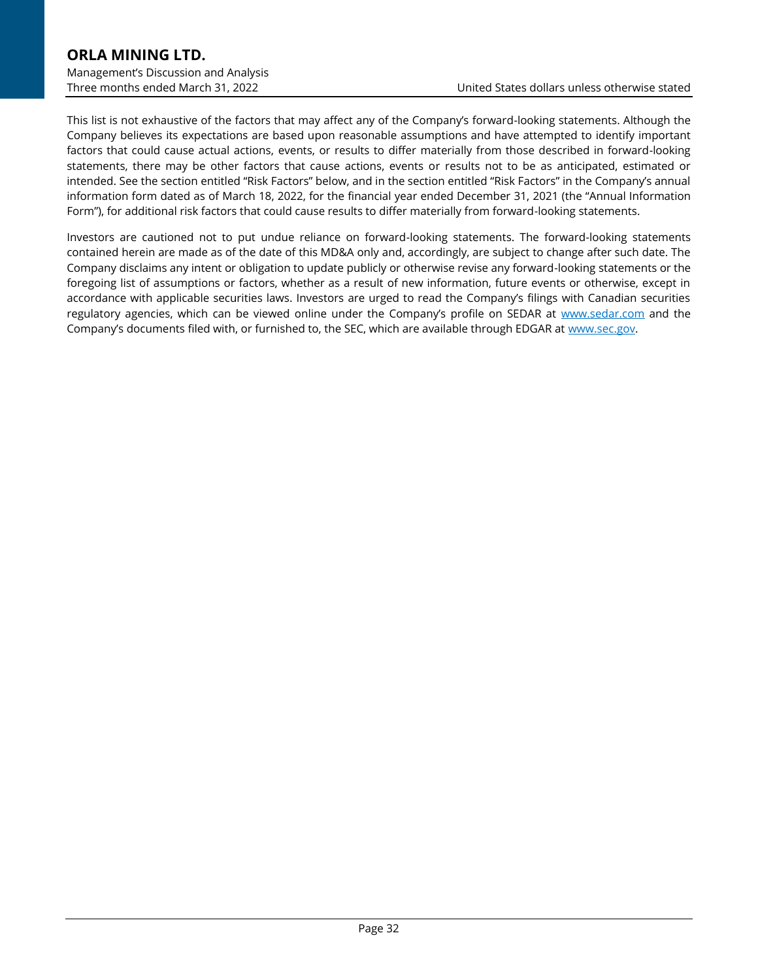# **ORLA MINING LTD.** Management's Discussion and Analysis

This list is not exhaustive of the factors that may affect any of the Company's forward-looking statements. Although the Company believes its expectations are based upon reasonable assumptions and have attempted to identify important factors that could cause actual actions, events, or results to differ materially from those described in forward-looking statements, there may be other factors that cause actions, events or results not to be as anticipated, estimated or intended. See the section entitled "Risk Factors" below, and in the section entitled "Risk Factors" in the Company's annual information form dated as of March 18, 2022, for the financial year ended December 31, 2021 (the "Annual Information Form"), for additional risk factors that could cause results to differ materially from forward-looking statements.

Investors are cautioned not to put undue reliance on forward-looking statements. The forward-looking statements contained herein are made as of the date of this MD&A only and, accordingly, are subject to change after such date. The Company disclaims any intent or obligation to update publicly or otherwise revise any forward-looking statements or the foregoing list of assumptions or factors, whether as a result of new information, future events or otherwise, except in accordance with applicable securities laws. Investors are urged to read the Company's filings with Canadian securities regulatory agencies, which can be viewed online under the Company's profile on SEDAR at [www.sedar.com](http://www.sedar.com/) and the Company's documents filed with, or furnished to, the SEC, which are available through EDGAR at [www.sec.gov.](http://www.sec.gov/)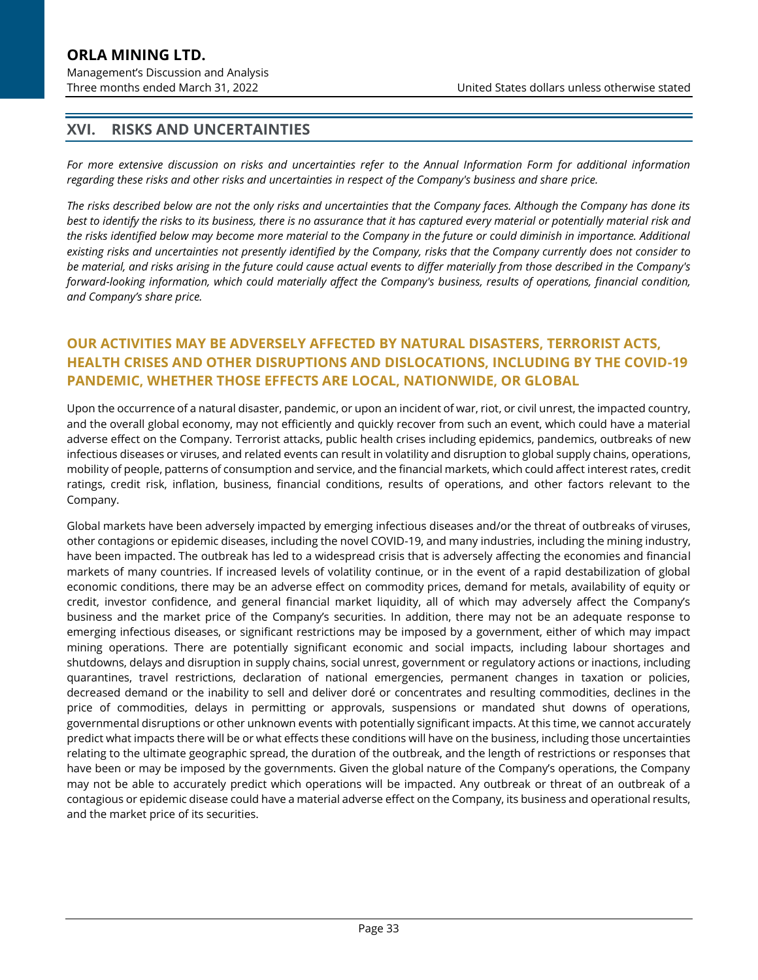### **ORLA MINING LTD.** Management's Discussion and Analysis

# **XVI. RISKS AND UNCERTAINTIES**

*For more extensive discussion on risks and uncertainties refer to the Annual Information Form for additional information regarding these risks and other risks and uncertainties in respect of the Company's business and share price.*

*The risks described below are not the only risks and uncertainties that the Company faces. Although the Company has done its best to identify the risks to its business, there is no assurance that it has captured every material or potentially material risk and the risks identified below may become more material to the Company in the future or could diminish in importance. Additional existing risks and uncertainties not presently identified by the Company, risks that the Company currently does not consider to be material, and risks arising in the future could cause actual events to differ materially from those described in the Company's forward-looking information, which could materially affect the Company's business, results of operations, financial condition, and Company's share price.*

# **OUR ACTIVITIES MAY BE ADVERSELY AFFECTED BY NATURAL DISASTERS, TERRORIST ACTS, HEALTH CRISES AND OTHER DISRUPTIONS AND DISLOCATIONS, INCLUDING BY THE COVID-19 PANDEMIC, WHETHER THOSE EFFECTS ARE LOCAL, NATIONWIDE, OR GLOBAL**

Upon the occurrence of a natural disaster, pandemic, or upon an incident of war, riot, or civil unrest, the impacted country, and the overall global economy, may not efficiently and quickly recover from such an event, which could have a material adverse effect on the Company. Terrorist attacks, public health crises including epidemics, pandemics, outbreaks of new infectious diseases or viruses, and related events can result in volatility and disruption to global supply chains, operations, mobility of people, patterns of consumption and service, and the financial markets, which could affect interest rates, credit ratings, credit risk, inflation, business, financial conditions, results of operations, and other factors relevant to the Company.

Global markets have been adversely impacted by emerging infectious diseases and/or the threat of outbreaks of viruses, other contagions or epidemic diseases, including the novel COVID-19, and many industries, including the mining industry, have been impacted. The outbreak has led to a widespread crisis that is adversely affecting the economies and financial markets of many countries. If increased levels of volatility continue, or in the event of a rapid destabilization of global economic conditions, there may be an adverse effect on commodity prices, demand for metals, availability of equity or credit, investor confidence, and general financial market liquidity, all of which may adversely affect the Company's business and the market price of the Company's securities. In addition, there may not be an adequate response to emerging infectious diseases, or significant restrictions may be imposed by a government, either of which may impact mining operations. There are potentially significant economic and social impacts, including labour shortages and shutdowns, delays and disruption in supply chains, social unrest, government or regulatory actions or inactions, including quarantines, travel restrictions, declaration of national emergencies, permanent changes in taxation or policies, decreased demand or the inability to sell and deliver doré or concentrates and resulting commodities, declines in the price of commodities, delays in permitting or approvals, suspensions or mandated shut downs of operations, governmental disruptions or other unknown events with potentially significant impacts. At this time, we cannot accurately predict what impacts there will be or what effects these conditions will have on the business, including those uncertainties relating to the ultimate geographic spread, the duration of the outbreak, and the length of restrictions or responses that have been or may be imposed by the governments. Given the global nature of the Company's operations, the Company may not be able to accurately predict which operations will be impacted. Any outbreak or threat of an outbreak of a contagious or epidemic disease could have a material adverse effect on the Company, its business and operational results, and the market price of its securities.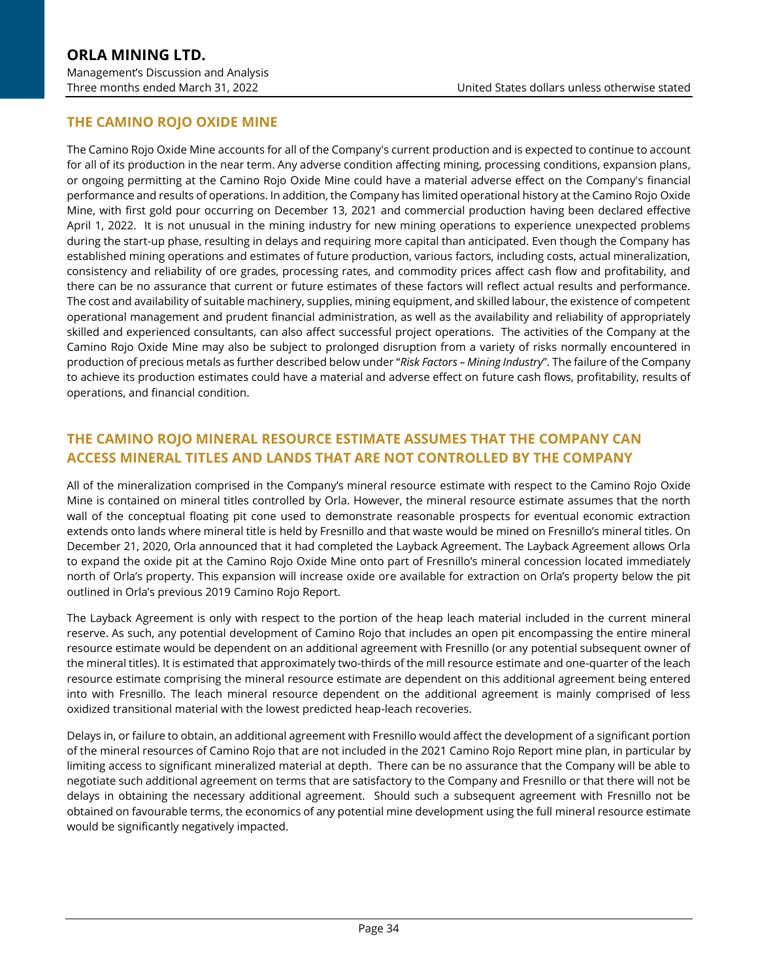# **THE CAMINO ROJO OXIDE MINE**

The Camino Rojo Oxide Mine accounts for all of the Company's current production and is expected to continue to account for all of its production in the near term. Any adverse condition affecting mining, processing conditions, expansion plans, or ongoing permitting at the Camino Rojo Oxide Mine could have a material adverse effect on the Company's financial performance and results of operations. In addition, the Company has limited operational history at the Camino Rojo Oxide Mine, with first gold pour occurring on December 13, 2021 and commercial production having been declared effective April 1, 2022. It is not unusual in the mining industry for new mining operations to experience unexpected problems during the start-up phase, resulting in delays and requiring more capital than anticipated. Even though the Company has established mining operations and estimates of future production, various factors, including costs, actual mineralization, consistency and reliability of ore grades, processing rates, and commodity prices affect cash flow and profitability, and there can be no assurance that current or future estimates of these factors will reflect actual results and performance. The cost and availability of suitable machinery, supplies, mining equipment, and skilled labour, the existence of competent operational management and prudent financial administration, as well as the availability and reliability of appropriately skilled and experienced consultants, can also affect successful project operations. The activities of the Company at the Camino Rojo Oxide Mine may also be subject to prolonged disruption from a variety of risks normally encountered in production of precious metals as further described below under "*Risk Factors – Mining Industry*". The failure of the Company to achieve its production estimates could have a material and adverse effect on future cash flows, profitability, results of operations, and financial condition.

# **THE CAMINO ROJO MINERAL RESOURCE ESTIMATE ASSUMES THAT THE COMPANY CAN ACCESS MINERAL TITLES AND LANDS THAT ARE NOT CONTROLLED BY THE COMPANY**

All of the mineralization comprised in the Company's mineral resource estimate with respect to the Camino Rojo Oxide Mine is contained on mineral titles controlled by Orla. However, the mineral resource estimate assumes that the north wall of the conceptual floating pit cone used to demonstrate reasonable prospects for eventual economic extraction extends onto lands where mineral title is held by Fresnillo and that waste would be mined on Fresnillo's mineral titles. On December 21, 2020, Orla announced that it had completed the Layback Agreement. The Layback Agreement allows Orla to expand the oxide pit at the Camino Rojo Oxide Mine onto part of Fresnillo's mineral concession located immediately north of Orla's property. This expansion will increase oxide ore available for extraction on Orla's property below the pit outlined in Orla's previous 2019 Camino Rojo Report.

The Layback Agreement is only with respect to the portion of the heap leach material included in the current mineral reserve. As such, any potential development of Camino Rojo that includes an open pit encompassing the entire mineral resource estimate would be dependent on an additional agreement with Fresnillo (or any potential subsequent owner of the mineral titles). It is estimated that approximately two-thirds of the mill resource estimate and one-quarter of the leach resource estimate comprising the mineral resource estimate are dependent on this additional agreement being entered into with Fresnillo. The leach mineral resource dependent on the additional agreement is mainly comprised of less oxidized transitional material with the lowest predicted heap-leach recoveries.

Delays in, or failure to obtain, an additional agreement with Fresnillo would affect the development of a significant portion of the mineral resources of Camino Rojo that are not included in the 2021 Camino Rojo Report mine plan, in particular by limiting access to significant mineralized material at depth. There can be no assurance that the Company will be able to negotiate such additional agreement on terms that are satisfactory to the Company and Fresnillo or that there will not be delays in obtaining the necessary additional agreement. Should such a subsequent agreement with Fresnillo not be obtained on favourable terms, the economics of any potential mine development using the full mineral resource estimate would be significantly negatively impacted.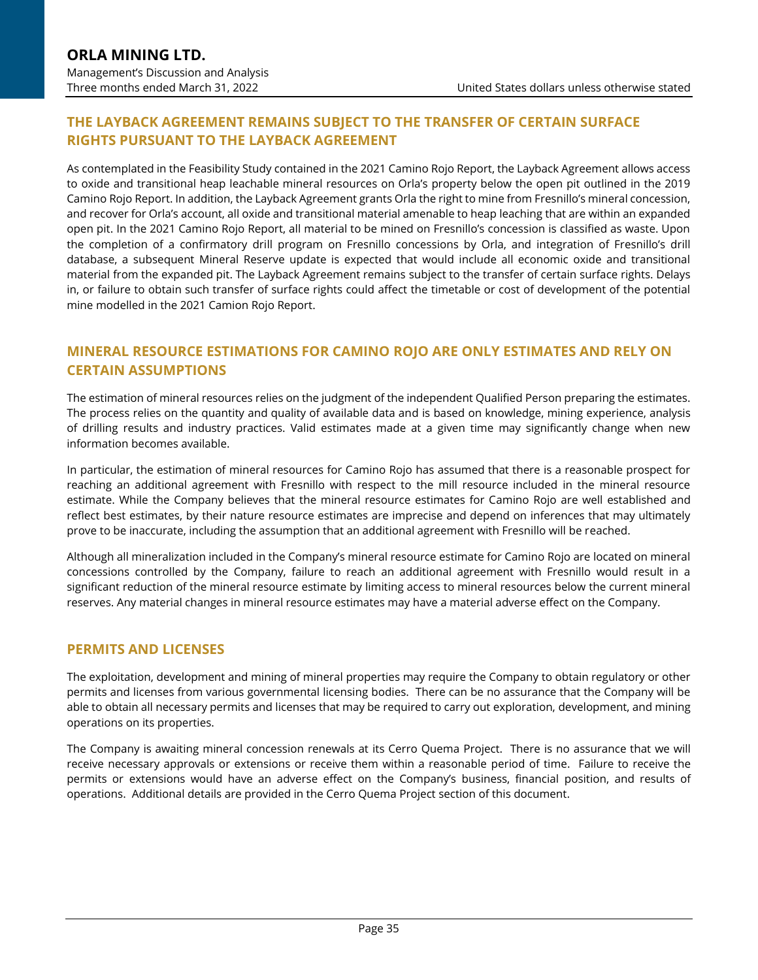# **THE LAYBACK AGREEMENT REMAINS SUBJECT TO THE TRANSFER OF CERTAIN SURFACE RIGHTS PURSUANT TO THE LAYBACK AGREEMENT**

As contemplated in the Feasibility Study contained in the 2021 Camino Rojo Report, the Layback Agreement allows access to oxide and transitional heap leachable mineral resources on Orla's property below the open pit outlined in the 2019 Camino Rojo Report. In addition, the Layback Agreement grants Orla the right to mine from Fresnillo's mineral concession, and recover for Orla's account, all oxide and transitional material amenable to heap leaching that are within an expanded open pit. In the 2021 Camino Rojo Report, all material to be mined on Fresnillo's concession is classified as waste. Upon the completion of a confirmatory drill program on Fresnillo concessions by Orla, and integration of Fresnillo's drill database, a subsequent Mineral Reserve update is expected that would include all economic oxide and transitional material from the expanded pit. The Layback Agreement remains subject to the transfer of certain surface rights. Delays in, or failure to obtain such transfer of surface rights could affect the timetable or cost of development of the potential mine modelled in the 2021 Camion Rojo Report.

# **MINERAL RESOURCE ESTIMATIONS FOR CAMINO ROJO ARE ONLY ESTIMATES AND RELY ON CERTAIN ASSUMPTIONS**

The estimation of mineral resources relies on the judgment of the independent Qualified Person preparing the estimates. The process relies on the quantity and quality of available data and is based on knowledge, mining experience, analysis of drilling results and industry practices. Valid estimates made at a given time may significantly change when new information becomes available.

In particular, the estimation of mineral resources for Camino Rojo has assumed that there is a reasonable prospect for reaching an additional agreement with Fresnillo with respect to the mill resource included in the mineral resource estimate. While the Company believes that the mineral resource estimates for Camino Rojo are well established and reflect best estimates, by their nature resource estimates are imprecise and depend on inferences that may ultimately prove to be inaccurate, including the assumption that an additional agreement with Fresnillo will be reached.

Although all mineralization included in the Company's mineral resource estimate for Camino Rojo are located on mineral concessions controlled by the Company, failure to reach an additional agreement with Fresnillo would result in a significant reduction of the mineral resource estimate by limiting access to mineral resources below the current mineral reserves. Any material changes in mineral resource estimates may have a material adverse effect on the Company.

### **PERMITS AND LICENSES**

The exploitation, development and mining of mineral properties may require the Company to obtain regulatory or other permits and licenses from various governmental licensing bodies. There can be no assurance that the Company will be able to obtain all necessary permits and licenses that may be required to carry out exploration, development, and mining operations on its properties.

The Company is awaiting mineral concession renewals at its Cerro Quema Project. There is no assurance that we will receive necessary approvals or extensions or receive them within a reasonable period of time. Failure to receive the permits or extensions would have an adverse effect on the Company's business, financial position, and results of operations. Additional details are provided in the Cerro Quema Project section of this document.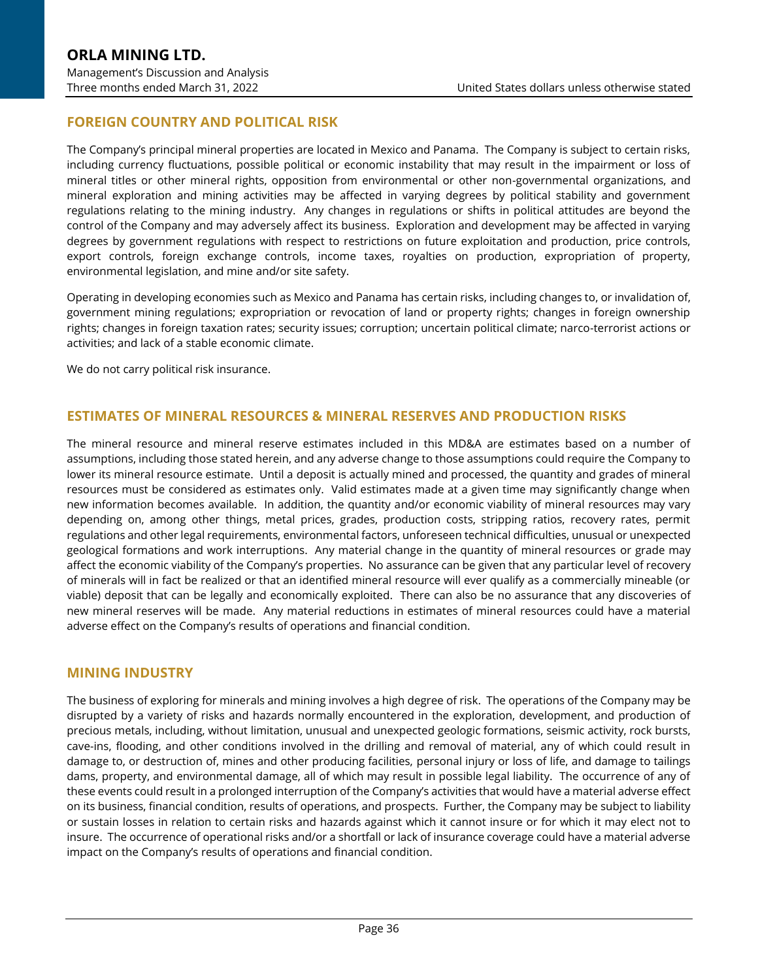# **FOREIGN COUNTRY AND POLITICAL RISK**

The Company's principal mineral properties are located in Mexico and Panama. The Company is subject to certain risks, including currency fluctuations, possible political or economic instability that may result in the impairment or loss of mineral titles or other mineral rights, opposition from environmental or other non-governmental organizations, and mineral exploration and mining activities may be affected in varying degrees by political stability and government regulations relating to the mining industry. Any changes in regulations or shifts in political attitudes are beyond the control of the Company and may adversely affect its business. Exploration and development may be affected in varying degrees by government regulations with respect to restrictions on future exploitation and production, price controls, export controls, foreign exchange controls, income taxes, royalties on production, expropriation of property, environmental legislation, and mine and/or site safety.

Operating in developing economies such as Mexico and Panama has certain risks, including changes to, or invalidation of, government mining regulations; expropriation or revocation of land or property rights; changes in foreign ownership rights; changes in foreign taxation rates; security issues; corruption; uncertain political climate; narco-terrorist actions or activities; and lack of a stable economic climate.

We do not carry political risk insurance.

#### **ESTIMATES OF MINERAL RESOURCES & MINERAL RESERVES AND PRODUCTION RISKS**

The mineral resource and mineral reserve estimates included in this MD&A are estimates based on a number of assumptions, including those stated herein, and any adverse change to those assumptions could require the Company to lower its mineral resource estimate. Until a deposit is actually mined and processed, the quantity and grades of mineral resources must be considered as estimates only. Valid estimates made at a given time may significantly change when new information becomes available. In addition, the quantity and/or economic viability of mineral resources may vary depending on, among other things, metal prices, grades, production costs, stripping ratios, recovery rates, permit regulations and other legal requirements, environmental factors, unforeseen technical difficulties, unusual or unexpected geological formations and work interruptions. Any material change in the quantity of mineral resources or grade may affect the economic viability of the Company's properties. No assurance can be given that any particular level of recovery of minerals will in fact be realized or that an identified mineral resource will ever qualify as a commercially mineable (or viable) deposit that can be legally and economically exploited. There can also be no assurance that any discoveries of new mineral reserves will be made. Any material reductions in estimates of mineral resources could have a material adverse effect on the Company's results of operations and financial condition.

#### **MINING INDUSTRY**

The business of exploring for minerals and mining involves a high degree of risk. The operations of the Company may be disrupted by a variety of risks and hazards normally encountered in the exploration, development, and production of precious metals, including, without limitation, unusual and unexpected geologic formations, seismic activity, rock bursts, cave-ins, flooding, and other conditions involved in the drilling and removal of material, any of which could result in damage to, or destruction of, mines and other producing facilities, personal injury or loss of life, and damage to tailings dams, property, and environmental damage, all of which may result in possible legal liability. The occurrence of any of these events could result in a prolonged interruption of the Company's activities that would have a material adverse effect on its business, financial condition, results of operations, and prospects. Further, the Company may be subject to liability or sustain losses in relation to certain risks and hazards against which it cannot insure or for which it may elect not to insure. The occurrence of operational risks and/or a shortfall or lack of insurance coverage could have a material adverse impact on the Company's results of operations and financial condition.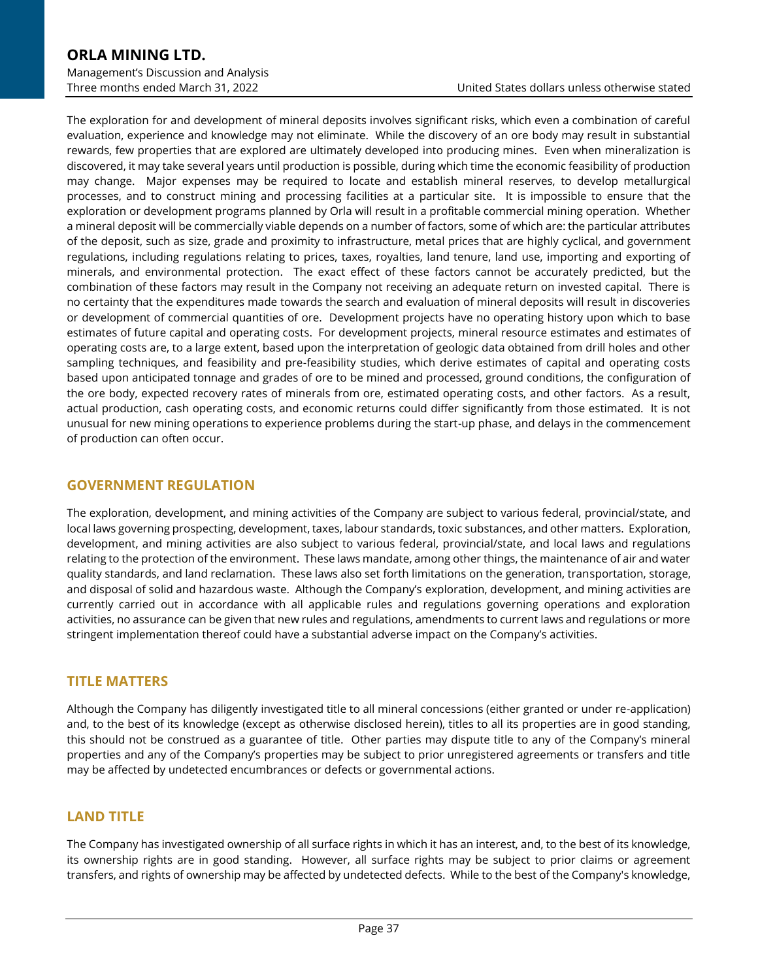The exploration for and development of mineral deposits involves significant risks, which even a combination of careful evaluation, experience and knowledge may not eliminate. While the discovery of an ore body may result in substantial rewards, few properties that are explored are ultimately developed into producing mines. Even when mineralization is discovered, it may take several years until production is possible, during which time the economic feasibility of production may change. Major expenses may be required to locate and establish mineral reserves, to develop metallurgical processes, and to construct mining and processing facilities at a particular site. It is impossible to ensure that the exploration or development programs planned by Orla will result in a profitable commercial mining operation. Whether a mineral deposit will be commercially viable depends on a number of factors, some of which are: the particular attributes of the deposit, such as size, grade and proximity to infrastructure, metal prices that are highly cyclical, and government regulations, including regulations relating to prices, taxes, royalties, land tenure, land use, importing and exporting of minerals, and environmental protection. The exact effect of these factors cannot be accurately predicted, but the combination of these factors may result in the Company not receiving an adequate return on invested capital. There is no certainty that the expenditures made towards the search and evaluation of mineral deposits will result in discoveries or development of commercial quantities of ore. Development projects have no operating history upon which to base estimates of future capital and operating costs. For development projects, mineral resource estimates and estimates of operating costs are, to a large extent, based upon the interpretation of geologic data obtained from drill holes and other sampling techniques, and feasibility and pre-feasibility studies, which derive estimates of capital and operating costs based upon anticipated tonnage and grades of ore to be mined and processed, ground conditions, the configuration of the ore body, expected recovery rates of minerals from ore, estimated operating costs, and other factors. As a result, actual production, cash operating costs, and economic returns could differ significantly from those estimated. It is not unusual for new mining operations to experience problems during the start-up phase, and delays in the commencement of production can often occur.

### **GOVERNMENT REGULATION**

The exploration, development, and mining activities of the Company are subject to various federal, provincial/state, and local laws governing prospecting, development, taxes, labour standards, toxic substances, and other matters. Exploration, development, and mining activities are also subject to various federal, provincial/state, and local laws and regulations relating to the protection of the environment. These laws mandate, among other things, the maintenance of air and water quality standards, and land reclamation. These laws also set forth limitations on the generation, transportation, storage, and disposal of solid and hazardous waste. Although the Company's exploration, development, and mining activities are currently carried out in accordance with all applicable rules and regulations governing operations and exploration activities, no assurance can be given that new rules and regulations, amendments to current laws and regulations or more stringent implementation thereof could have a substantial adverse impact on the Company's activities.

### **TITLE MATTERS**

Although the Company has diligently investigated title to all mineral concessions (either granted or under re-application) and, to the best of its knowledge (except as otherwise disclosed herein), titles to all its properties are in good standing, this should not be construed as a guarantee of title. Other parties may dispute title to any of the Company's mineral properties and any of the Company's properties may be subject to prior unregistered agreements or transfers and title may be affected by undetected encumbrances or defects or governmental actions.

# **LAND TITLE**

The Company has investigated ownership of all surface rights in which it has an interest, and, to the best of its knowledge, its ownership rights are in good standing. However, all surface rights may be subject to prior claims or agreement transfers, and rights of ownership may be affected by undetected defects. While to the best of the Company's knowledge,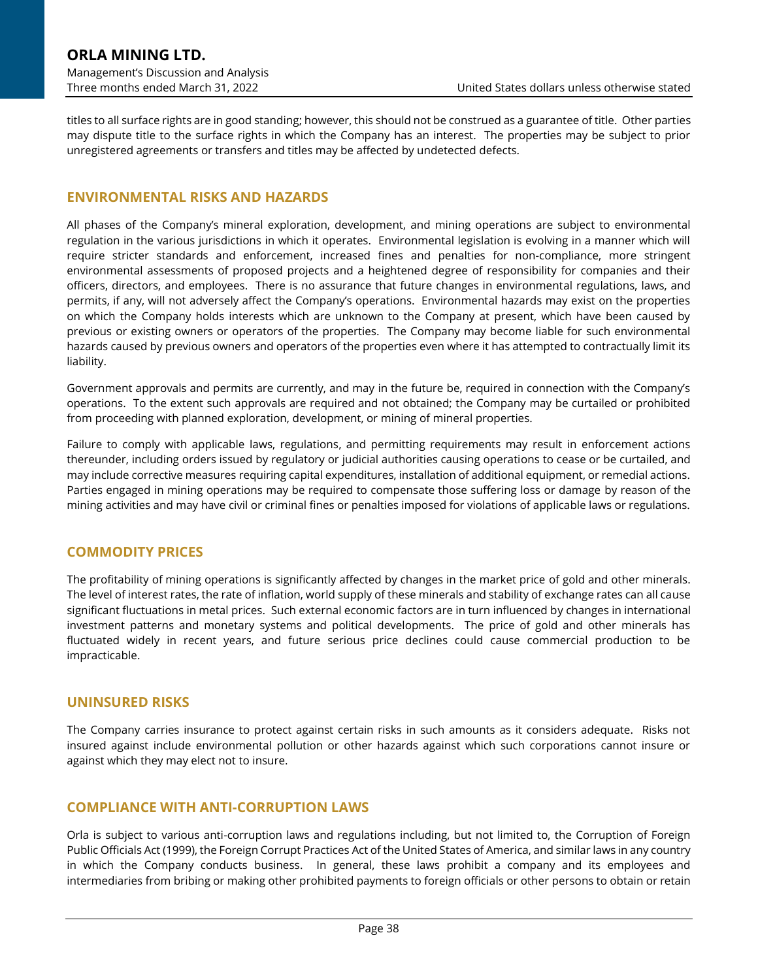titles to all surface rights are in good standing; however, this should not be construed as a guarantee of title. Other parties may dispute title to the surface rights in which the Company has an interest. The properties may be subject to prior unregistered agreements or transfers and titles may be affected by undetected defects.

### **ENVIRONMENTAL RISKS AND HAZARDS**

All phases of the Company's mineral exploration, development, and mining operations are subject to environmental regulation in the various jurisdictions in which it operates. Environmental legislation is evolving in a manner which will require stricter standards and enforcement, increased fines and penalties for non-compliance, more stringent environmental assessments of proposed projects and a heightened degree of responsibility for companies and their officers, directors, and employees. There is no assurance that future changes in environmental regulations, laws, and permits, if any, will not adversely affect the Company's operations. Environmental hazards may exist on the properties on which the Company holds interests which are unknown to the Company at present, which have been caused by previous or existing owners or operators of the properties. The Company may become liable for such environmental hazards caused by previous owners and operators of the properties even where it has attempted to contractually limit its liability.

Government approvals and permits are currently, and may in the future be, required in connection with the Company's operations. To the extent such approvals are required and not obtained; the Company may be curtailed or prohibited from proceeding with planned exploration, development, or mining of mineral properties.

Failure to comply with applicable laws, regulations, and permitting requirements may result in enforcement actions thereunder, including orders issued by regulatory or judicial authorities causing operations to cease or be curtailed, and may include corrective measures requiring capital expenditures, installation of additional equipment, or remedial actions. Parties engaged in mining operations may be required to compensate those suffering loss or damage by reason of the mining activities and may have civil or criminal fines or penalties imposed for violations of applicable laws or regulations.

### **COMMODITY PRICES**

The profitability of mining operations is significantly affected by changes in the market price of gold and other minerals. The level of interest rates, the rate of inflation, world supply of these minerals and stability of exchange rates can all cause significant fluctuations in metal prices. Such external economic factors are in turn influenced by changes in international investment patterns and monetary systems and political developments. The price of gold and other minerals has fluctuated widely in recent years, and future serious price declines could cause commercial production to be impracticable.

#### **UNINSURED RISKS**

The Company carries insurance to protect against certain risks in such amounts as it considers adequate. Risks not insured against include environmental pollution or other hazards against which such corporations cannot insure or against which they may elect not to insure.

#### **COMPLIANCE WITH ANTI-CORRUPTION LAWS**

Orla is subject to various anti-corruption laws and regulations including, but not limited to, the Corruption of Foreign Public Officials Act (1999), the Foreign Corrupt Practices Act of the United States of America, and similar laws in any country in which the Company conducts business. In general, these laws prohibit a company and its employees and intermediaries from bribing or making other prohibited payments to foreign officials or other persons to obtain or retain